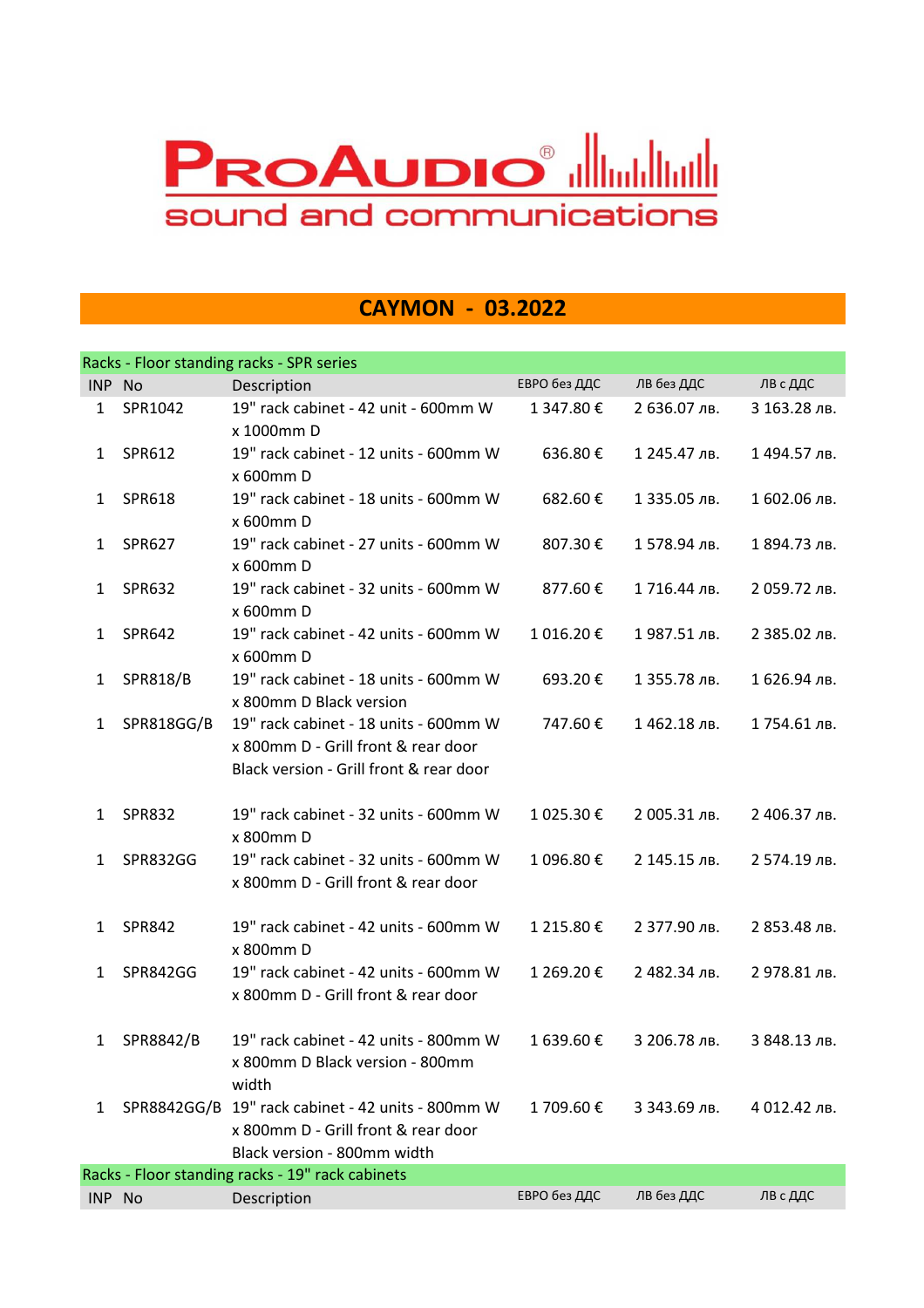## **PROAUDIO<sup>®</sup> alliantlingilling** sound and communications

## **CAYMON - 03.2022**

|              |                 | Racks - Floor standing racks - SPR series                                                                               |              |              |              |
|--------------|-----------------|-------------------------------------------------------------------------------------------------------------------------|--------------|--------------|--------------|
| INP No       |                 | Description                                                                                                             | ЕВРО без ДДС | ЛВ без ДДС   | ЛВ с ДДС     |
| $\mathbf{1}$ | SPR1042         | 19" rack cabinet - 42 unit - 600mm W<br>x 1000mm D                                                                      | 1 347.80€    | 2 636.07 лв. | 3 163.28 лв. |
| $\mathbf{1}$ | SPR612          | 19" rack cabinet - 12 units - 600mm W<br>x 600mm D                                                                      | 636.80€      | 1 245.47 лв. | 1494.57 лв.  |
| 1            | SPR618          | 19" rack cabinet - 18 units - 600mm W<br>x 600mm D                                                                      | 682.60€      | 1 335.05 лв. | 1 602.06 лв. |
| 1            | <b>SPR627</b>   | 19" rack cabinet - 27 units - 600mm W<br>x 600mm D                                                                      | 807.30€      | 1578.94 лв.  | 1 894.73 лв. |
| 1            | <b>SPR632</b>   | 19" rack cabinet - 32 units - 600mm W<br>x 600mm D                                                                      | 877.60€      | 1716.44 лв.  | 2 059.72 лв. |
| $\mathbf{1}$ | SPR642          | 19" rack cabinet - 42 units - 600mm W<br>x 600mm D                                                                      | 1 016.20€    | 1987.51 лв.  | 2 385.02 лв. |
| 1            | <b>SPR818/B</b> | 19" rack cabinet - 18 units - 600mm W<br>x 800mm D Black version                                                        | 693.20€      | 1 355.78 лв. | 1626.94 лв.  |
| $\mathbf{1}$ | SPR818GG/B      | 19" rack cabinet - 18 units - 600mm W<br>x 800mm D - Grill front & rear door<br>Black version - Grill front & rear door | 747.60€      | 1462.18 лв.  | 1754.61 лв.  |
| 1            | <b>SPR832</b>   | 19" rack cabinet - 32 units - 600mm W<br>x 800mm D                                                                      | 1 025.30 €   | 2 005.31 лв. | 2 406.37 лв. |
| 1            | <b>SPR832GG</b> | 19" rack cabinet - 32 units - 600mm W<br>x 800mm D - Grill front & rear door                                            | 1 096.80€    | 2 145.15 лв. | 2 574.19 лв. |
| 1            | <b>SPR842</b>   | 19" rack cabinet - 42 units - 600mm W<br>x 800mm D                                                                      | 1 215.80€    | 2 377.90 лв. | 2 853.48 лв. |
| 1            | SPR842GG        | 19" rack cabinet - 42 units - 600mm W<br>x 800mm D - Grill front & rear door                                            | 1 269.20€    | 2 482.34 лв. | 2 978.81 лв. |
| 1            | SPR8842/B       | 19" rack cabinet - 42 units - 800mm W<br>x 800mm D Black version - 800mm<br>width                                       | 1 639.60€    | 3 206.78 лв. | З 848.13 лв. |
| 1            |                 | SPR8842GG/B 19" rack cabinet - 42 units - 800mm W<br>x 800mm D - Grill front & rear door<br>Black version - 800mm width | 1709.60€     | 3 343.69 лв. | 4 012.42 лв. |
|              |                 | Racks - Floor standing racks - 19" rack cabinets                                                                        |              |              |              |
| INP No       |                 | Description                                                                                                             | ЕВРО без ДДС | ЛВ без ДДС   | ЛВ с ДДС     |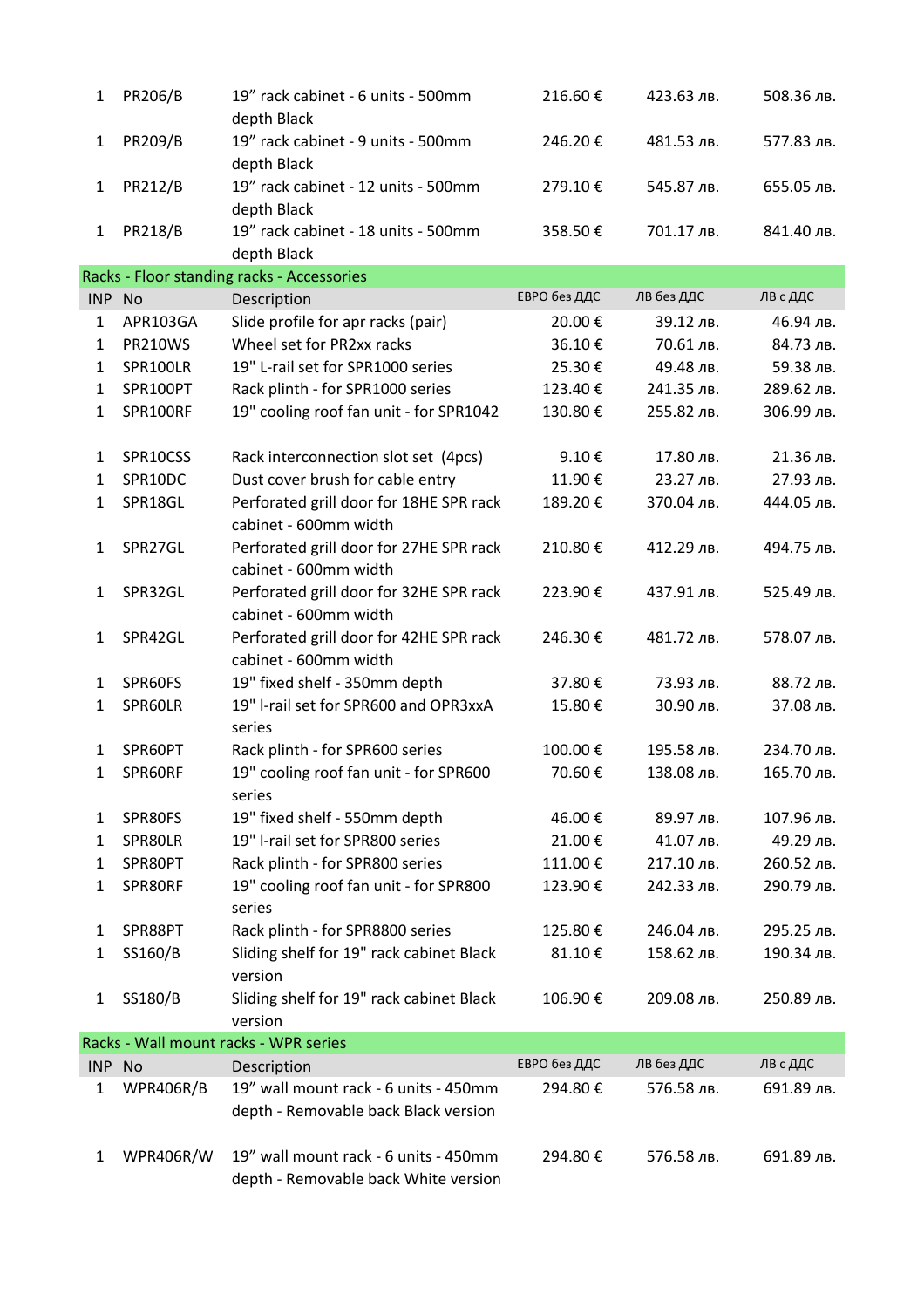| $\mathbf{1}$ | PR206/B        | 19" rack cabinet - 6 units - 500mm<br>depth Black                             | 216.60€      | 423.63 лв. | 508.36 лв. |
|--------------|----------------|-------------------------------------------------------------------------------|--------------|------------|------------|
| 1            | PR209/B        | 19" rack cabinet - 9 units - 500mm<br>depth Black                             | 246.20€      | 481.53 лв. | 577.83 лв. |
| 1            | <b>PR212/B</b> | 19" rack cabinet - 12 units - 500mm<br>depth Black                            | 279.10€      | 545.87 лв. | 655.05 лв. |
| 1            | <b>PR218/B</b> | 19" rack cabinet - 18 units - 500mm<br>depth Black                            | 358.50€      | 701.17 лв. | 841.40 лв. |
|              |                | Racks - Floor standing racks - Accessories                                    |              |            |            |
| INP No       |                | Description                                                                   | ЕВРО без ДДС | ЛВ без ДДС | ЛВ с ДДС   |
| 1            | APR103GA       | Slide profile for apr racks (pair)                                            | 20.00€       | 39.12 лв.  | 46.94 лв.  |
| 1            | <b>PR210WS</b> | Wheel set for PR2xx racks                                                     | 36.10€       | 70.61 лв.  | 84.73 лв.  |
| 1            | SPR100LR       | 19" L-rail set for SPR1000 series                                             | 25.30€       | 49.48 лв.  | 59.38 лв.  |
| $\mathbf{1}$ | SPR100PT       | Rack plinth - for SPR1000 series                                              | 123.40€      | 241.35 лв. | 289.62 лв. |
| 1            | SPR100RF       | 19" cooling roof fan unit - for SPR1042                                       | 130.80€      | 255.82 лв. | 306.99 лв. |
| 1            | SPR10CSS       | Rack interconnection slot set (4pcs)                                          | 9.10€        | 17.80 лв.  | 21.36 лв.  |
| 1            | SPR10DC        | Dust cover brush for cable entry                                              | 11.90€       | 23.27 лв.  | 27.93 лв.  |
| 1            | SPR18GL        | Perforated grill door for 18HE SPR rack                                       | 189.20€      | 370.04 лв. | 444.05 лв. |
|              |                | cabinet - 600mm width                                                         |              |            |            |
| 1            | SPR27GL        | Perforated grill door for 27HE SPR rack<br>cabinet - 600mm width              | 210.80€      | 412.29 лв. | 494.75 лв. |
| $\mathbf{1}$ | SPR32GL        | Perforated grill door for 32HE SPR rack<br>cabinet - 600mm width              | 223.90€      | 437.91 лв. | 525.49 лв. |
| 1            | SPR42GL        | Perforated grill door for 42HE SPR rack<br>cabinet - 600mm width              | 246.30€      | 481.72 лв. | 578.07 лв. |
| 1            | SPR60FS        | 19" fixed shelf - 350mm depth                                                 | 37.80€       | 73.93 лв.  | 88.72 лв.  |
| 1            | SPR60LR        | 19" I-rail set for SPR600 and OPR3xxA                                         | 15.80€       | 30.90 лв.  | 37.08 лв.  |
|              |                | series                                                                        |              |            |            |
| 1            | SPR60PT        | Rack plinth - for SPR600 series                                               | 100.00€      | 195.58 лв. | 234.70 лв. |
| 1            | SPR60RF        | 19" cooling roof fan unit - for SPR600<br>series                              | 70.60€       | 138.08 лв. | 165.70 лв. |
| 1            | SPR80FS        | 19" fixed shelf - 550mm depth                                                 | 46.00€       | 89.97 лв.  | 107.96 лв. |
| 1            | SPR80LR        | 19" I-rail set for SPR800 series                                              | 21.00€       | 41.07 лв.  | 49.29 лв.  |
| 1            | SPR80PT        | Rack plinth - for SPR800 series                                               | 111.00€      | 217.10 лв. | 260.52 лв. |
| 1            | SPR80RF        | 19" cooling roof fan unit - for SPR800<br>series                              | 123.90€      | 242.33 лв. | 290.79 лв. |
| 1            | SPR88PT        | Rack plinth - for SPR8800 series                                              | 125.80€      | 246.04 лв. | 295.25 лв. |
| 1            | SS160/B        | Sliding shelf for 19" rack cabinet Black<br>version                           | 81.10€       | 158.62 лв. | 190.34 лв. |
| $\mathbf{1}$ | SS180/B        | Sliding shelf for 19" rack cabinet Black<br>version                           | 106.90€      | 209.08 лв. | 250.89 лв. |
|              |                | Racks - Wall mount racks - WPR series                                         |              |            |            |
| INP No       |                | Description                                                                   | ЕВРО без ДДС | ЛВ без ДДС | ЛВ с ДДС   |
| 1            | WPR406R/B      | 19" wall mount rack - 6 units - 450mm                                         | 294.80€      | 576.58 лв. | 691.89 лв. |
|              |                | depth - Removable back Black version                                          |              |            |            |
| 1            | WPR406R/W      | 19" wall mount rack - 6 units - 450mm<br>depth - Removable back White version | 294.80€      | 576.58 лв. | 691.89 лв. |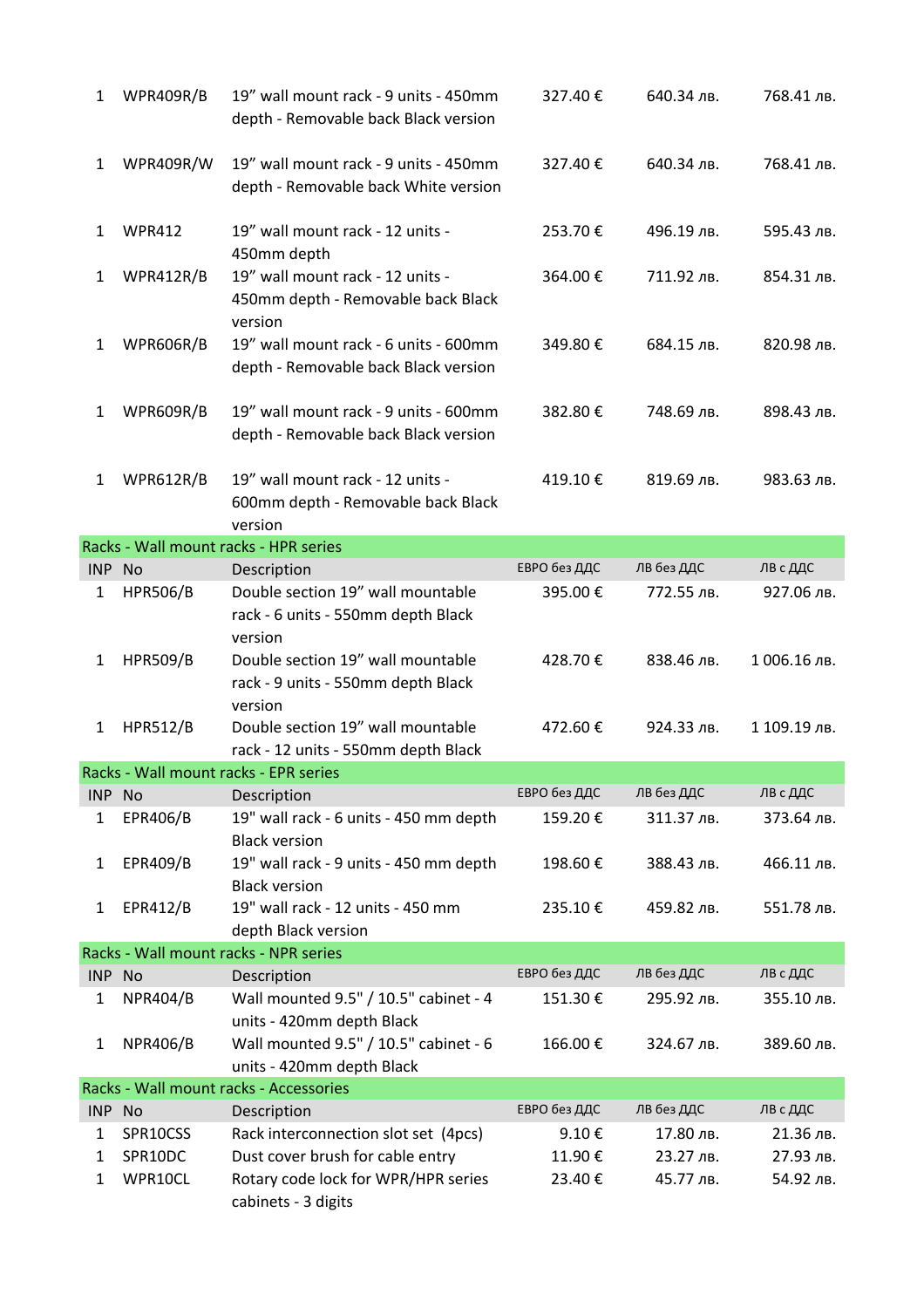| $\mathbf{1}$ | WPR409R/B       | 19" wall mount rack - 9 units - 450mm<br>depth - Removable back Black version      | 327.40€      | 640.34 лв. | 768.41 лв.   |
|--------------|-----------------|------------------------------------------------------------------------------------|--------------|------------|--------------|
| $\mathbf{1}$ | WPR409R/W       | 19" wall mount rack - 9 units - 450mm<br>depth - Removable back White version      | 327.40€      | 640.34 лв. | 768.41 лв.   |
| 1            | <b>WPR412</b>   | 19" wall mount rack - 12 units -<br>450mm depth                                    | 253.70€      | 496.19 лв. | 595.43 лв.   |
| $\mathbf{1}$ | WPR412R/B       | 19" wall mount rack - 12 units -<br>450mm depth - Removable back Black<br>version  | 364.00€      | 711.92 лв. | 854.31 лв.   |
| $\mathbf{1}$ | WPR606R/B       | 19" wall mount rack - 6 units - 600mm<br>depth - Removable back Black version      | 349.80€      | 684.15 лв. | 820.98 лв.   |
| $\mathbf{1}$ | WPR609R/B       | 19" wall mount rack - 9 units - 600mm<br>depth - Removable back Black version      | 382.80€      | 748.69 лв. | 898.43 лв.   |
| $\mathbf{1}$ | WPR612R/B       | 19" wall mount rack - 12 units -<br>600mm depth - Removable back Black<br>version  | 419.10€      | 819.69 лв. | 983.63 лв.   |
|              |                 | Racks - Wall mount racks - HPR series                                              |              |            |              |
| INP No       |                 | Description                                                                        | ЕВРО без ДДС | ЛВ без ДДС | ЛВ с ДДС     |
| 1            | <b>HPR506/B</b> | Double section 19" wall mountable<br>rack - 6 units - 550mm depth Black<br>version | 395.00€      | 772.55 лв. | 927.06 лв.   |
| 1            | <b>HPR509/B</b> | Double section 19" wall mountable<br>rack - 9 units - 550mm depth Black<br>version | 428.70€      | 838.46 лв. | 1006.16 лв.  |
| 1            | <b>HPR512/B</b> | Double section 19" wall mountable<br>rack - 12 units - 550mm depth Black           | 472.60€      | 924.33 лв. | 1 109.19 лв. |
|              |                 | Racks - Wall mount racks - EPR series                                              |              |            |              |
| INP No       |                 | Description                                                                        | ЕВРО без ДДС | ЛВ без ДДС | ЛВ с ДДС     |
| 1            | EPR406/B        | 19" wall rack - 6 units - 450 mm depth<br><b>Black version</b>                     | 159.20€      | 311.37 лв. | 373.64 лв.   |
| 1            | EPR409/B        | 19" wall rack - 9 units - 450 mm depth<br><b>Black version</b>                     | 198.60€      | 388.43 лв. | 466.11 лв.   |
| 1            | EPR412/B        | 19" wall rack - 12 units - 450 mm<br>depth Black version                           | 235.10€      | 459.82 лв. | 551.78 лв.   |
|              |                 | Racks - Wall mount racks - NPR series                                              |              |            |              |
| INP No       |                 | Description                                                                        | ЕВРО без ДДС | ЛВ без ДДС | ЛВ с ДДС     |
| $\mathbf{1}$ | <b>NPR404/B</b> | Wall mounted 9.5" / 10.5" cabinet - 4<br>units - 420mm depth Black                 | 151.30€      | 295.92 лв. | 355.10 лв.   |
| 1            | <b>NPR406/B</b> | Wall mounted 9.5" / 10.5" cabinet - 6<br>units - 420mm depth Black                 | 166.00€      | 324.67 лв. | 389.60 лв.   |
|              |                 | Racks - Wall mount racks - Accessories                                             |              |            |              |
| INP No       |                 | Description                                                                        | ЕВРО без ДДС | ЛВ без ДДС | ЛВ с ДДС     |
| 1            | SPR10CSS        | Rack interconnection slot set (4pcs)                                               | 9.10€        | 17.80 лв.  | 21.36 лв.    |
| 1            | SPR10DC         | Dust cover brush for cable entry                                                   | 11.90€       | 23.27 лв.  | 27.93 лв.    |
| $\mathbf{1}$ | WPR10CL         | Rotary code lock for WPR/HPR series<br>cabinets - 3 digits                         | 23.40€       | 45.77 лв.  | 54.92 лв.    |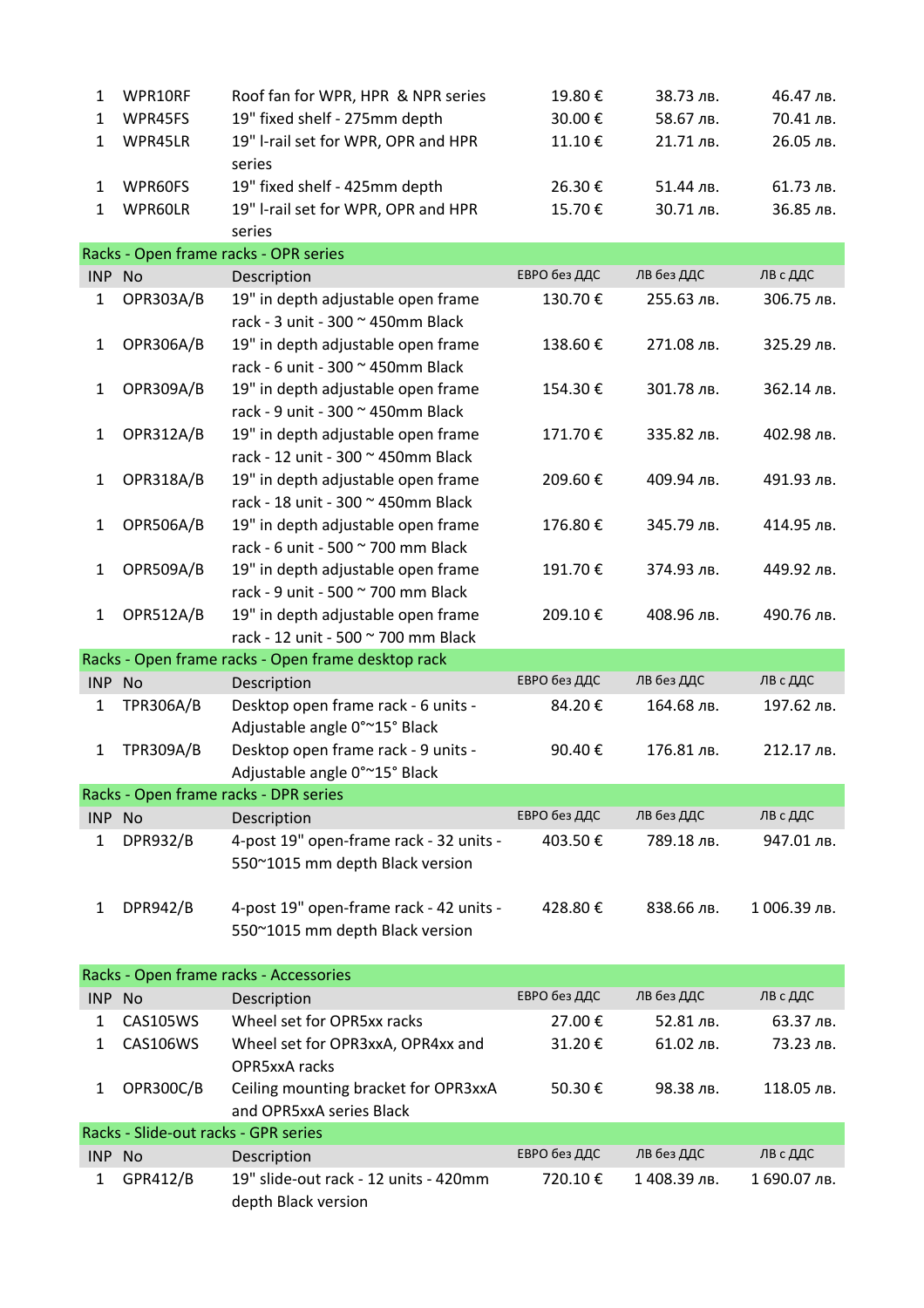| 1            | WPR10RF                              | Roof fan for WPR, HPR & NPR series                           | 19.80€       | 38.73 лв.    | 46.47 лв.    |
|--------------|--------------------------------------|--------------------------------------------------------------|--------------|--------------|--------------|
| 1            | WPR45FS                              | 19" fixed shelf - 275mm depth                                | 30.00€       | 58.67 лв.    | 70.41 лв.    |
| $\mathbf{1}$ | WPR45LR                              | 19" I-rail set for WPR, OPR and HPR                          | 11.10€       | 21.71 лв.    | 26.05 лв.    |
|              |                                      | series                                                       |              |              |              |
| $\mathbf{1}$ | WPR60FS                              | 19" fixed shelf - 425mm depth                                | 26.30€       | 51.44 лв.    | 61.73 лв.    |
| $\mathbf{1}$ | WPR60LR                              | 19" I-rail set for WPR, OPR and HPR                          | 15.70€       | 30.71 лв.    | 36.85 лв.    |
|              |                                      | series                                                       |              |              |              |
|              |                                      | Racks - Open frame racks - OPR series                        |              |              |              |
| INP No       |                                      | Description                                                  | ЕВРО без ДДС | ЛВ без ДДС   | ЛВ с ДДС     |
| $\mathbf{1}$ | OPR303A/B                            | 19" in depth adjustable open frame                           | 130.70€      | 255.63 лв.   | 306.75 лв.   |
|              |                                      | rack - 3 unit - 300 ~ 450mm Black                            |              |              |              |
| $\mathbf{1}$ | OPR306A/B                            | 19" in depth adjustable open frame                           | 138.60€      | 271.08 лв.   | 325.29 лв.   |
|              |                                      | rack - 6 unit - 300 ~ 450mm Black                            |              |              |              |
| $\mathbf{1}$ | OPR309A/B                            | 19" in depth adjustable open frame                           | 154.30€      | 301.78 лв.   | 362.14 лв.   |
|              |                                      | rack - 9 unit - 300 ~ 450mm Black                            |              |              |              |
| $\mathbf{1}$ | OPR312A/B                            | 19" in depth adjustable open frame                           | 171.70€      | 335.82 лв.   | 402.98 лв.   |
|              |                                      | rack - 12 unit - 300 ~ 450mm Black                           |              |              |              |
| $\mathbf{1}$ | OPR318A/B                            | 19" in depth adjustable open frame                           | 209.60€      | 409.94 лв.   | 491.93 лв.   |
|              |                                      | rack - 18 unit - 300 ~ 450mm Black                           |              |              |              |
| $\mathbf{1}$ | OPR506A/B                            | 19" in depth adjustable open frame                           | 176.80€      | 345.79 лв.   | 414.95 лв.   |
|              |                                      | rack - 6 unit - 500 ~ 700 mm Black                           |              |              |              |
| $\mathbf{1}$ | OPR509A/B                            | 19" in depth adjustable open frame                           | 191.70€      | 374.93 лв.   | 449.92 лв.   |
|              |                                      | rack - 9 unit - 500 ~ 700 mm Black                           |              |              |              |
| $\mathbf{1}$ | OPR512A/B                            | 19" in depth adjustable open frame                           | 209.10€      | 408.96 лв.   | 490.76 лв.   |
|              |                                      | rack - 12 unit - 500 ~ 700 mm Black                          |              |              |              |
|              |                                      |                                                              |              |              |              |
|              |                                      | Racks - Open frame racks - Open frame desktop rack           |              |              |              |
| INP No       |                                      | Description                                                  | ЕВРО без ДДС | ЛВ без ДДС   | ЛВ с ДДС     |
| 1            | <b>TPR306A/B</b>                     | Desktop open frame rack - 6 units -                          | 84.20€       | 164.68 лв.   | 197.62 лв.   |
|              |                                      | Adjustable angle 0°~15° Black                                |              |              |              |
| $\mathbf{1}$ | <b>TPR309A/B</b>                     | Desktop open frame rack - 9 units -                          | 90.40€       | 176.81 лв.   | 212.17 лв.   |
|              |                                      | Adjustable angle 0°~15° Black                                |              |              |              |
|              |                                      | Racks - Open frame racks - DPR series                        |              |              |              |
| INP No       |                                      | Description                                                  | ЕВРО без ДДС | ЛВ без ДДС   | ЛВ с ДДС     |
| $\mathbf{1}$ | <b>DPR932/B</b>                      | 4-post 19" open-frame rack - 32 units -                      | 403.50€      | 789.18 лв.   | 947.01 лв.   |
|              |                                      | 550~1015 mm depth Black version                              |              |              |              |
|              |                                      |                                                              |              |              |              |
| $\mathbf{1}$ | <b>DPR942/B</b>                      | 4-post 19" open-frame rack - 42 units -                      | 428.80€      | 838.66 лв.   | 1 006.39 лв. |
|              |                                      | 550~1015 mm depth Black version                              |              |              |              |
|              |                                      |                                                              |              |              |              |
|              |                                      | Racks - Open frame racks - Accessories                       |              |              |              |
| INP No       |                                      | Description                                                  | ЕВРО без ДДС | ЛВ без ДДС   | ЛВ с ДДС     |
| 1            | <b>CAS105WS</b>                      | Wheel set for OPR5xx racks                                   | 27.00€       | 52.81 лв.    | 63.37 лв.    |
| 1            | CAS106WS                             | Wheel set for OPR3xxA, OPR4xx and                            | 31.20€       | 61.02 лв.    | 73.23 лв.    |
|              |                                      | OPR5xxA racks                                                |              |              |              |
| $\mathbf{1}$ | OPR300C/B                            | Ceiling mounting bracket for OPR3xxA                         | 50.30€       | 98.38 лв.    | 118.05 лв.   |
|              |                                      | and OPR5xxA series Black                                     |              |              |              |
|              | Racks - Slide-out racks - GPR series |                                                              |              |              |              |
| INP No       |                                      | Description                                                  | ЕВРО без ДДС | лв без ддС   | ЛВ с ДДС     |
| 1            | GPR412/B                             | 19" slide-out rack - 12 units - 420mm<br>depth Black version | 720.10€      | 1 408.39 лв. | 1 690.07 лв. |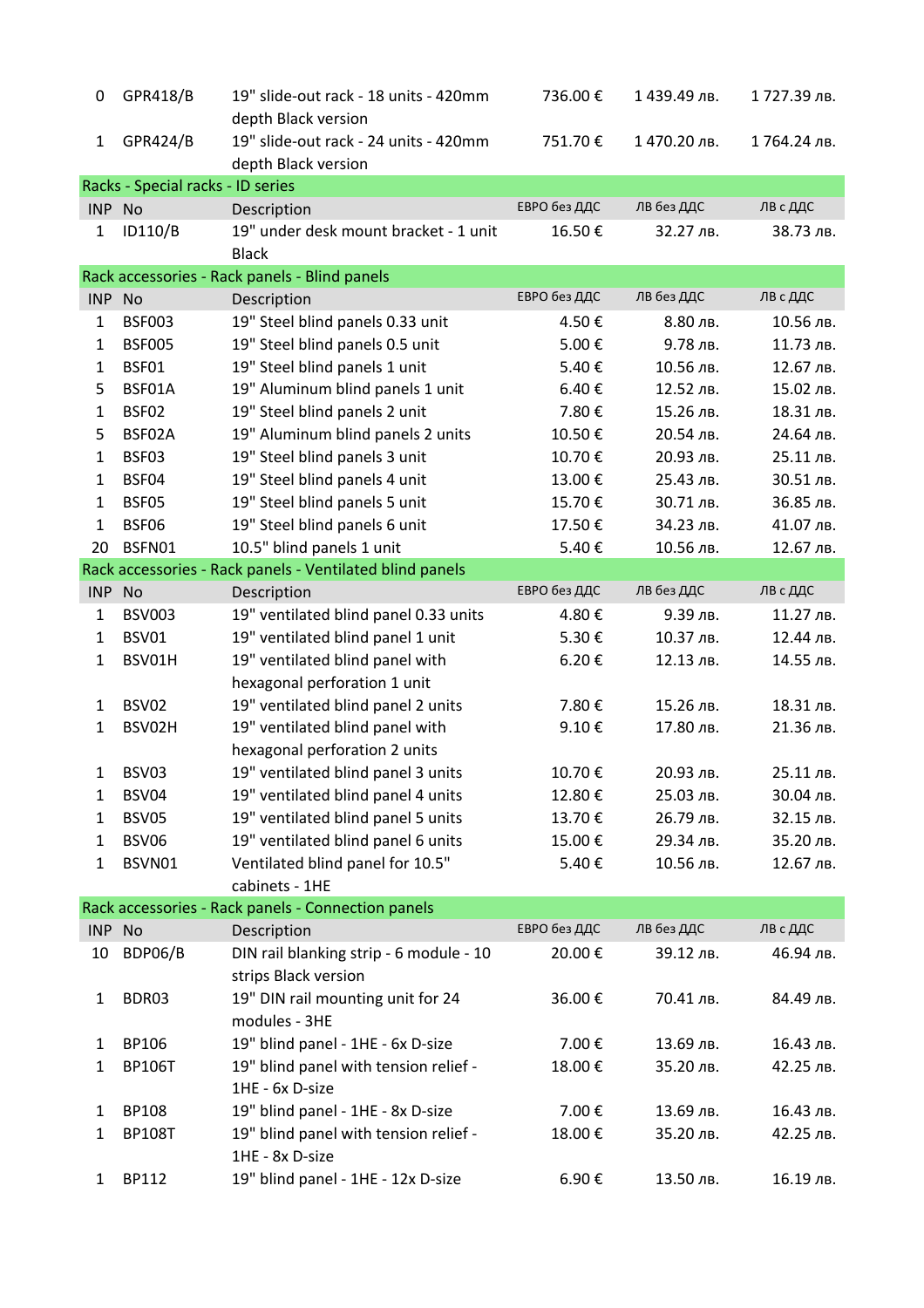| 0            | GPR418/B                          | 19" slide-out rack - 18 units - 420mm                        | 736.00€      | 1439.49лв.  | 1 727.39 лв. |
|--------------|-----------------------------------|--------------------------------------------------------------|--------------|-------------|--------------|
|              |                                   | depth Black version                                          |              |             |              |
| 1            | <b>GPR424/B</b>                   | 19" slide-out rack - 24 units - 420mm<br>depth Black version | 751.70€      | 1470.20 лв. | 1764.24 лв.  |
|              | Racks - Special racks - ID series |                                                              |              |             |              |
| INP No       |                                   | Description                                                  | ЕВРО без ДДС | ЛВ без ДДС  | ЛВ с ДДС     |
| $\mathbf{1}$ | ID110/B                           | 19" under desk mount bracket - 1 unit<br><b>Black</b>        | 16.50€       | 32.27 лв.   | 38.73 лв.    |
|              |                                   | Rack accessories - Rack panels - Blind panels                |              |             |              |
| INP No       |                                   | Description                                                  | ЕВРО без ДДС | ЛВ без ДДС  | ЛВ с ДДС     |
| $\mathbf{1}$ | <b>BSF003</b>                     | 19" Steel blind panels 0.33 unit                             | 4.50€        | 8.80 лв.    | 10.56 лв.    |
| $\mathbf{1}$ | <b>BSF005</b>                     | 19" Steel blind panels 0.5 unit                              | 5.00€        | 9.78 лв.    | 11.73 лв.    |
| $\mathbf{1}$ | BSF01                             | 19" Steel blind panels 1 unit                                | 5.40€        | 10.56 лв.   | 12.67 лв.    |
| 5            | BSF01A                            | 19" Aluminum blind panels 1 unit                             | 6.40€        | 12.52 лв.   | 15.02 лв.    |
| $\mathbf{1}$ | BSF02                             | 19" Steel blind panels 2 unit                                | 7.80€        | 15.26 лв.   | 18.31 лв.    |
| 5            | BSF02A                            | 19" Aluminum blind panels 2 units                            | 10.50€       | 20.54 лв.   | 24.64 лв.    |
| $\mathbf{1}$ | BSF03                             | 19" Steel blind panels 3 unit                                | 10.70€       | 20.93 лв.   | 25.11 лв.    |
| $\mathbf{1}$ | BSF04                             | 19" Steel blind panels 4 unit                                | 13.00€       | 25.43 лв.   | 30.51 лв.    |
| $\mathbf{1}$ | BSF05                             | 19" Steel blind panels 5 unit                                | 15.70€       | 30.71 лв.   | 36.85 лв.    |
| $\mathbf{1}$ | BSF06                             | 19" Steel blind panels 6 unit                                | 17.50€       | 34.23 лв.   | 41.07 лв.    |
| 20           | BSFN01                            | 10.5" blind panels 1 unit                                    | 5.40€        | 10.56 лв.   | 12.67 лв.    |
|              |                                   | Rack accessories - Rack panels - Ventilated blind panels     |              |             |              |
| INP No       |                                   | Description                                                  | ЕВРО без ДДС | ЛВ без ДДС  | ЛВ с ДДС     |
| 1            | <b>BSV003</b>                     | 19" ventilated blind panel 0.33 units                        | 4.80€        | 9.39 лв.    | 11.27 лв.    |
| $\mathbf{1}$ | BSV01                             | 19" ventilated blind panel 1 unit                            | 5.30€        | 10.37 лв.   | 12.44 лв.    |
| $\mathbf{1}$ | BSV01H                            | 19" ventilated blind panel with                              | 6.20€        | 12.13 лв.   | 14.55 лв.    |
|              |                                   | hexagonal perforation 1 unit                                 |              |             |              |
| $\mathbf{1}$ | BSV02                             | 19" ventilated blind panel 2 units                           | 7.80€        | 15.26 лв.   | 18.31 лв.    |
| 1            | BSV02H                            | 19" ventilated blind panel with                              | 9.10€        | 17.80 лв.   | 21.36 лв.    |
|              |                                   | hexagonal perforation 2 units                                |              |             |              |
| 1            | BSV03                             | 19" ventilated blind panel 3 units                           | 10.70€       | 20.93 лв.   | 25.11 лв.    |
| 1            | BSV04                             | 19" ventilated blind panel 4 units                           | 12.80€       | 25.03 лв.   | 30.04 лв.    |
| 1            | BSV05                             | 19" ventilated blind panel 5 units                           | 13.70€       | 26.79 лв.   | 32.15 лв.    |
| 1            | BSV06                             | 19" ventilated blind panel 6 units                           | 15.00€       | 29.34 лв.   | 35.20 лв.    |
| 1            | BSVN01                            | Ventilated blind panel for 10.5"                             | 5.40€        | 10.56 лв.   | 12.67 лв.    |
|              |                                   | cabinets - 1HE                                               |              |             |              |
|              |                                   | Rack accessories - Rack panels - Connection panels           |              |             |              |
| INP No       |                                   | Description                                                  | ЕВРО без ДДС | ЛВ без ДДС  | ЛВ с ДДС     |
| 10           | BDP06/B                           | DIN rail blanking strip - 6 module - 10                      | 20.00€       | 39.12 лв.   | 46.94 лв.    |
|              |                                   | strips Black version                                         |              |             |              |
|              | BDR03                             | 19" DIN rail mounting unit for 24                            | 36.00€       | 70.41 лв.   | 84.49 лв.    |
| $\mathbf{1}$ |                                   | modules - 3HE                                                |              |             |              |
|              |                                   |                                                              |              |             |              |
| $\mathbf{1}$ | BP106                             | 19" blind panel - 1HE - 6x D-size                            | 7.00€        | 13.69 лв.   | 16.43 лв.    |
| 1            | <b>BP106T</b>                     | 19" blind panel with tension relief -<br>1HE - 6x D-size     | 18.00€       | 35.20 лв.   | 42.25 лв.    |
| 1            | <b>BP108</b>                      | 19" blind panel - 1HE - 8x D-size                            | 7.00€        | 13.69 лв.   | 16.43 лв.    |
| 1            | <b>BP108T</b>                     | 19" blind panel with tension relief -                        | 18.00€       | 35.20 лв.   | 42.25 лв.    |
|              |                                   | 1HE - 8x D-size                                              |              |             |              |
| 1            | BP112                             | 19" blind panel - 1HE - 12x D-size                           | 6.90€        | 13.50 лв.   | 16.19 лв.    |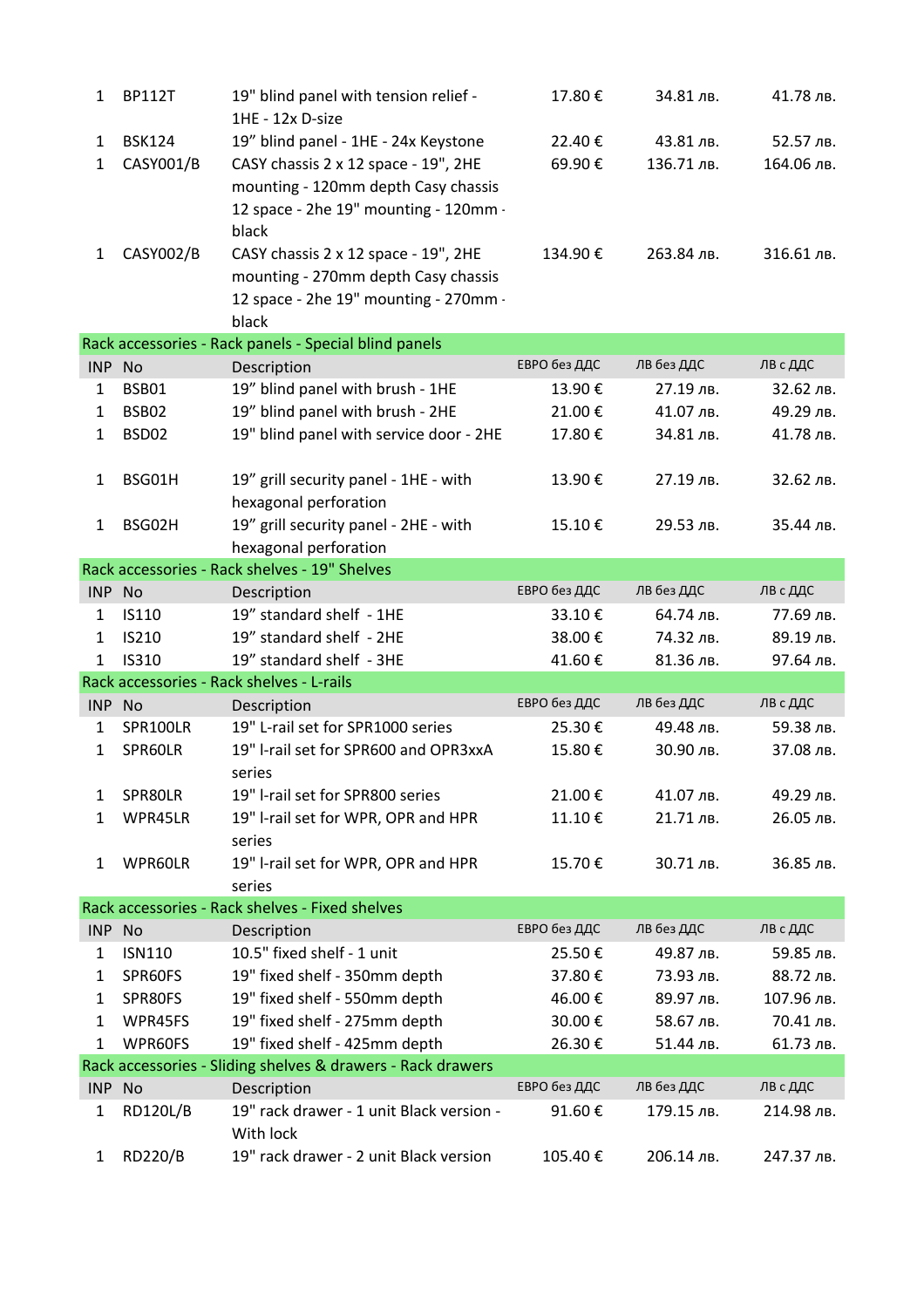| 1            | <b>BP112T</b>   | 19" blind panel with tension relief -<br>1HE - 12x D-size             | 17.80€       | 34.81 лв.  | 41.78 лв.  |
|--------------|-----------------|-----------------------------------------------------------------------|--------------|------------|------------|
| $\mathbf{1}$ | <b>BSK124</b>   | 19" blind panel - 1HE - 24x Keystone                                  | 22.40€       | 43.81 лв.  | 52.57 лв.  |
| 1            | CASY001/B       | CASY chassis 2 x 12 space - 19", 2HE                                  | 69.90€       | 136.71 лв. | 164.06 лв. |
|              |                 | mounting - 120mm depth Casy chassis                                   |              |            |            |
|              |                 | 12 space - 2he 19" mounting - 120mm -                                 |              |            |            |
|              |                 | black                                                                 |              |            |            |
| $\mathbf{1}$ | CASY002/B       | CASY chassis 2 x 12 space - 19", 2HE                                  | 134.90€      | 263.84 лв. | 316.61 лв. |
|              |                 | mounting - 270mm depth Casy chassis                                   |              |            |            |
|              |                 | 12 space - 2he 19" mounting - 270mm -                                 |              |            |            |
|              |                 | black                                                                 |              |            |            |
|              |                 | Rack accessories - Rack panels - Special blind panels                 |              |            |            |
| INP No       |                 | Description                                                           | ЕВРО без ДДС | ЛВ без ДДС | ЛВ с ДДС   |
| $\mathbf{1}$ | BSB01           | 19" blind panel with brush - 1HE                                      | 13.90€       | 27.19 лв.  | 32.62 лв.  |
| $\mathbf{1}$ | BSB02           | 19" blind panel with brush - 2HE                                      | 21.00€       | 41.07 лв.  | 49.29 лв.  |
| 1            | BSD02           | 19" blind panel with service door - 2HE                               | 17.80€       | 34.81 лв.  | 41.78 лв.  |
|              |                 |                                                                       |              |            |            |
| $\mathbf{1}$ | BSG01H          | 19" grill security panel - 1HE - with                                 | 13.90€       | 27.19 лв.  | 32.62 лв.  |
|              |                 | hexagonal perforation                                                 |              |            |            |
| $\mathbf{1}$ | BSG02H          | 19" grill security panel - 2HE - with                                 | 15.10€       | 29.53 лв.  | 35.44 лв.  |
|              |                 | hexagonal perforation                                                 |              |            |            |
|              |                 | Rack accessories - Rack shelves - 19" Shelves                         |              |            |            |
| INP No       |                 | Description                                                           | ЕВРО без ДДС | ЛВ без ДДС | ЛВ с ДДС   |
| $\mathbf{1}$ | IS110           | 19" standard shelf - 1HE                                              | 33.10€       | 64.74 лв.  | 77.69 лв.  |
| $\mathbf{1}$ | <b>IS210</b>    | 19" standard shelf - 2HE                                              | 38.00€       | 74.32 лв.  | 89.19 лв.  |
| $\mathbf{1}$ | IS310           | 19" standard shelf - 3HE<br>Rack accessories - Rack shelves - L-rails | 41.60€       | 81.36 лв.  | 97.64 лв.  |
| INP No       |                 |                                                                       | ЕВРО без ДДС | ЛВ без ДДС | ЛВ с ДДС   |
| $\mathbf{1}$ | SPR100LR        | Description<br>19" L-rail set for SPR1000 series                      | 25.30€       | 49.48 лв.  | 59.38 лв.  |
| $\mathbf{1}$ | SPR60LR         | 19" I-rail set for SPR600 and OPR3xxA                                 | 15.80€       | 30.90 лв.  | 37.08 лв.  |
|              |                 | series                                                                |              |            |            |
| 1            | SPR80LR         | 19" I-rail set for SPR800 series                                      | 21.00€       | 41.07 лв.  | 49.29 лв.  |
| $\mathbf{1}$ | WPR45LR         | 19" I-rail set for WPR, OPR and HPR                                   | 11.10€       | 21.71 лв.  | 26.05 лв.  |
|              |                 | series                                                                |              |            |            |
| 1            | WPR60LR         | 19" I-rail set for WPR, OPR and HPR                                   | 15.70€       | 30.71 лв.  | 36.85 лв.  |
|              |                 | series                                                                |              |            |            |
|              |                 | Rack accessories - Rack shelves - Fixed shelves                       |              |            |            |
| INP No       |                 | Description                                                           | ЕВРО без ДДС | ЛВ без ДДС | ЛВ с ДДС   |
| 1            | <b>ISN110</b>   | 10.5" fixed shelf - 1 unit                                            | 25.50€       | 49.87 лв.  | 59.85 лв.  |
| 1            | SPR60FS         | 19" fixed shelf - 350mm depth                                         | 37.80€       | 73.93 лв.  | 88.72 лв.  |
| 1            | SPR80FS         | 19" fixed shelf - 550mm depth                                         | 46.00€       | 89.97 лв.  | 107.96 лв. |
| $\mathbf{1}$ | WPR45FS         | 19" fixed shelf - 275mm depth                                         | 30.00€       | 58.67 лв.  | 70.41 лв.  |
| $\mathbf{1}$ | WPR60FS         | 19" fixed shelf - 425mm depth                                         | 26.30€       | 51.44 лв.  | 61.73 лв.  |
|              |                 | Rack accessories - Sliding shelves & drawers - Rack drawers           |              |            |            |
| INP No       |                 | Description                                                           | ЕВРО без ДДС | ЛВ без ДДС | ЛВ с ДДС   |
| 1            | <b>RD120L/B</b> | 19" rack drawer - 1 unit Black version -<br>With lock                 | 91.60€       | 179.15 лв. | 214.98 лв. |
| $\mathbf{1}$ | <b>RD220/B</b>  | 19" rack drawer - 2 unit Black version                                | 105.40€      | 206.14 лв. | 247.37 лв. |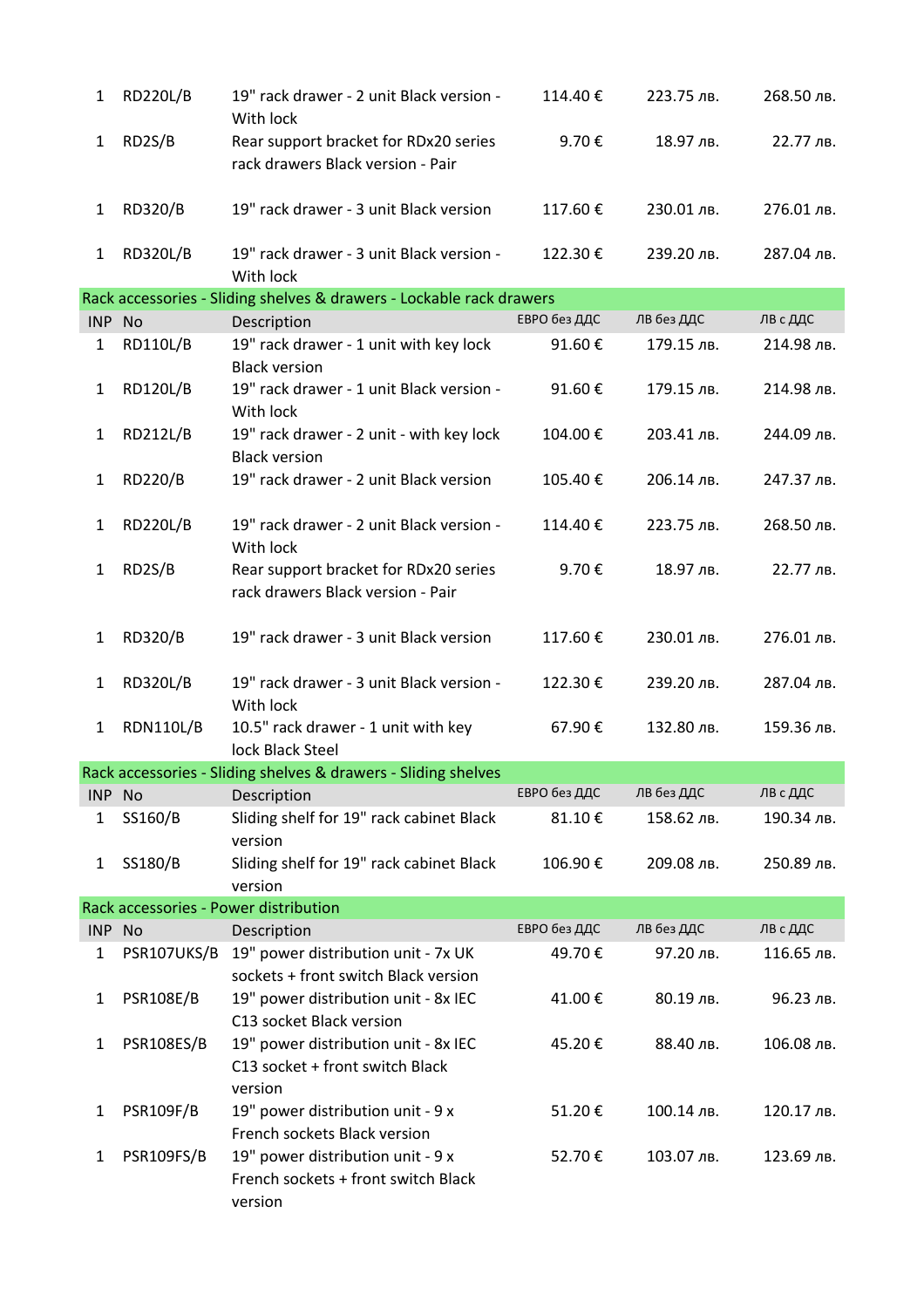| $\mathbf{1}$ | <b>RD220L/B</b>  | 19" rack drawer - 2 unit Black version -<br>With lock                               | 114.40€      | 223.75 лв. | 268.50 лв. |
|--------------|------------------|-------------------------------------------------------------------------------------|--------------|------------|------------|
| $\mathbf{1}$ | RD2S/B           | Rear support bracket for RDx20 series<br>rack drawers Black version - Pair          | 9.70€        | 18.97 лв.  | 22.77 лв.  |
| 1            | RD320/B          | 19" rack drawer - 3 unit Black version                                              | 117.60€      | 230.01 лв. | 276.01 лв. |
| $\mathbf{1}$ | <b>RD320L/B</b>  | 19" rack drawer - 3 unit Black version -<br>With lock                               | 122.30€      | 239.20 лв. | 287.04 лв. |
|              |                  | Rack accessories - Sliding shelves & drawers - Lockable rack drawers                |              |            |            |
| INP No       |                  | Description                                                                         | ЕВРО без ДДС | ЛВ без ДДС | ЛВ с ДДС   |
| $\mathbf{1}$ | <b>RD110L/B</b>  | 19" rack drawer - 1 unit with key lock<br><b>Black version</b>                      | 91.60€       | 179.15 лв. | 214.98 лв. |
| $\mathbf{1}$ | <b>RD120L/B</b>  | 19" rack drawer - 1 unit Black version -<br>With lock                               | 91.60€       | 179.15 лв. | 214.98 лв. |
| $\mathbf{1}$ | <b>RD212L/B</b>  | 19" rack drawer - 2 unit - with key lock<br><b>Black version</b>                    | 104.00€      | 203.41 лв. | 244.09 лв. |
| 1            | <b>RD220/B</b>   | 19" rack drawer - 2 unit Black version                                              | 105.40€      | 206.14 лв. | 247.37 лв. |
| 1            | <b>RD220L/B</b>  | 19" rack drawer - 2 unit Black version -<br>With lock                               | 114.40€      | 223.75 лв. | 268.50 лв. |
| $\mathbf{1}$ | RD2S/B           | Rear support bracket for RDx20 series<br>rack drawers Black version - Pair          | 9.70€        | 18.97 лв.  | 22.77 лв.  |
| 1            | <b>RD320/B</b>   | 19" rack drawer - 3 unit Black version                                              | 117.60€      | 230.01 лв. | 276.01 лв. |
| $\mathbf{1}$ | <b>RD320L/B</b>  | 19" rack drawer - 3 unit Black version -<br>With lock                               | 122.30€      | 239.20 лв. | 287.04 лв. |
| $\mathbf{1}$ | <b>RDN110L/B</b> | 10.5" rack drawer - 1 unit with key<br>lock Black Steel                             | 67.90€       | 132.80 лв. | 159.36 лв. |
|              |                  | Rack accessories - Sliding shelves & drawers - Sliding shelves                      |              |            |            |
| INP No       |                  | Description                                                                         | ЕВРО без ДДС | ЛВ без ДДС | ЛВ с ДДС   |
| 1            | SS160/B          | Sliding shelf for 19" rack cabinet Black<br>version                                 | 81.10€       | 158.62 лв. | 190.34 лв. |
| $\mathbf{1}$ | SS180/B          | Sliding shelf for 19" rack cabinet Black<br>version                                 | 106.90€      | 209.08 лв. | 250.89 лв. |
|              |                  | Rack accessories - Power distribution                                               |              |            |            |
| INP No       |                  | Description                                                                         | ЕВРО без ДДС | ЛВ без ДДС | ЛВ с ДДС   |
| 1            | PSR107UKS/B      | 19" power distribution unit - 7x UK<br>sockets + front switch Black version         | 49.70€       | 97.20 лв.  | 116.65 лв. |
| $\mathbf{1}$ | <b>PSR108E/B</b> | 19" power distribution unit - 8x IEC<br>C13 socket Black version                    | 41.00€       | 80.19 лв.  | 96.23 лв.  |
| $\mathbf{1}$ | PSR108ES/B       | 19" power distribution unit - 8x IEC<br>C13 socket + front switch Black<br>version  | 45.20€       | 88.40 лв.  | 106.08 лв. |
| $\mathbf{1}$ | <b>PSR109F/B</b> | 19" power distribution unit - 9 x<br>French sockets Black version                   | 51.20€       | 100.14 лв. | 120.17 лв. |
| 1            | PSR109FS/B       | 19" power distribution unit - 9 x<br>French sockets + front switch Black<br>version | 52.70€       | 103.07 лв. | 123.69 лв. |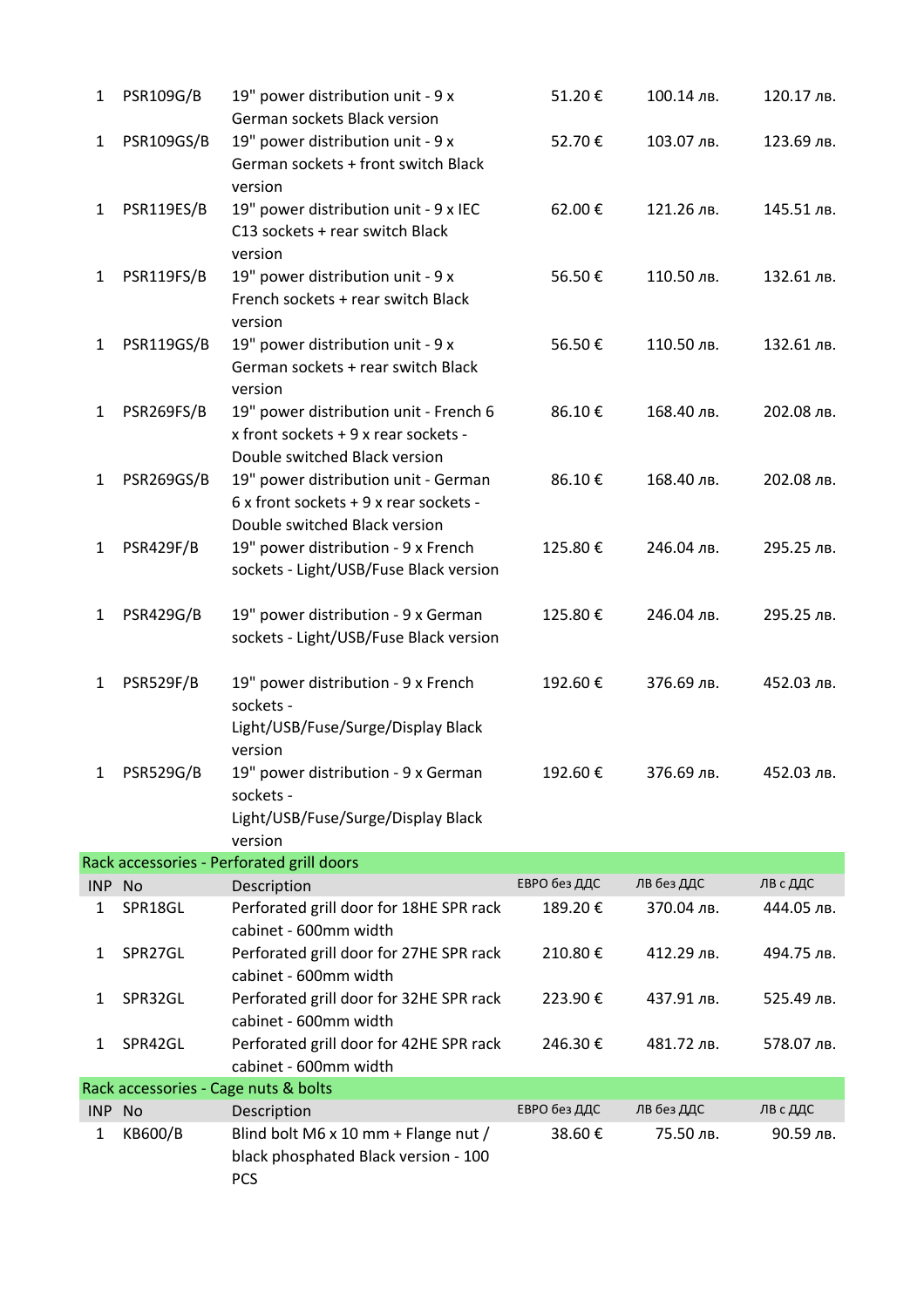| 1            | <b>PSR109G/B</b> | 19" power distribution unit - 9 x                                                                                                                  | 51.20€       | 100.14 лв. | 120.17 лв. |
|--------------|------------------|----------------------------------------------------------------------------------------------------------------------------------------------------|--------------|------------|------------|
| $\mathbf{1}$ | PSR109GS/B       | German sockets Black version<br>19" power distribution unit - 9 x<br>German sockets + front switch Black                                           | 52.70€       | 103.07 лв. | 123.69 лв. |
| $\mathbf{1}$ | PSR119ES/B       | version<br>19" power distribution unit - 9 x IEC<br>C13 sockets + rear switch Black                                                                | 62.00€       | 121.26 лв. | 145.51 лв. |
| $\mathbf{1}$ | PSR119FS/B       | version<br>19" power distribution unit - 9 x<br>French sockets + rear switch Black                                                                 | 56.50€       | 110.50 лв. | 132.61 лв. |
| $\mathbf{1}$ | PSR119GS/B       | version<br>19" power distribution unit - 9 x<br>German sockets + rear switch Black<br>version                                                      | 56.50€       | 110.50 лв. | 132.61 лв. |
| $\mathbf{1}$ | PSR269FS/B       | 19" power distribution unit - French 6<br>x front sockets + 9 x rear sockets -<br>Double switched Black version                                    | 86.10€       | 168.40 лв. | 202.08 лв. |
| $\mathbf{1}$ | PSR269GS/B       | 19" power distribution unit - German<br>6 x front sockets + 9 x rear sockets -<br>Double switched Black version                                    | 86.10€       | 168.40 лв. | 202.08 лв. |
| 1            | PSR429F/B        | 19" power distribution - 9 x French<br>sockets - Light/USB/Fuse Black version                                                                      | 125.80€      | 246.04 лв. | 295.25 лв. |
| $\mathbf{1}$ | <b>PSR429G/B</b> | 19" power distribution - 9 x German<br>sockets - Light/USB/Fuse Black version                                                                      | 125.80€      | 246.04 лв. | 295.25 лв. |
| $\mathbf{1}$ | PSR529F/B        | 19" power distribution - 9 x French<br>sockets -                                                                                                   | 192.60€      | 376.69 лв. | 452.03 лв. |
| 1            | <b>PSR529G/B</b> | Light/USB/Fuse/Surge/Display Black<br>version<br>19" power distribution - 9 x German<br>sockets -<br>Light/USB/Fuse/Surge/Display Black<br>version | 192.60€      | 376.69 лв. | 452.03 лв. |
|              |                  | Rack accessories - Perforated grill doors                                                                                                          |              |            |            |
| INP No       |                  | Description                                                                                                                                        | ЕВРО без ДДС | ЛВ без ДДС | ЛВ с ДДС   |
| 1            | SPR18GL          | Perforated grill door for 18HE SPR rack<br>cabinet - 600mm width                                                                                   | 189.20€      | 370.04 лв. | 444.05 лв. |
| 1            | SPR27GL          | Perforated grill door for 27HE SPR rack<br>cabinet - 600mm width                                                                                   | 210.80€      | 412.29 лв. | 494.75 лв. |
| 1            | SPR32GL          | Perforated grill door for 32HE SPR rack<br>cabinet - 600mm width                                                                                   | 223.90€      | 437.91 лв. | 525.49 лв. |
| 1            | SPR42GL          | Perforated grill door for 42HE SPR rack<br>cabinet - 600mm width                                                                                   | 246.30€      | 481.72 лв. | 578.07 лв. |
|              |                  | Rack accessories - Cage nuts & bolts                                                                                                               |              |            |            |
| INP No       |                  | Description                                                                                                                                        | ЕВРО без ДДС | ЛВ без ДДС | ЛВ с ДДС   |
| 1            | KB600/B          | Blind bolt M6 x 10 mm + Flange nut /<br>black phosphated Black version - 100<br><b>PCS</b>                                                         | 38.60€       | 75.50 лв.  | 90.59 лв.  |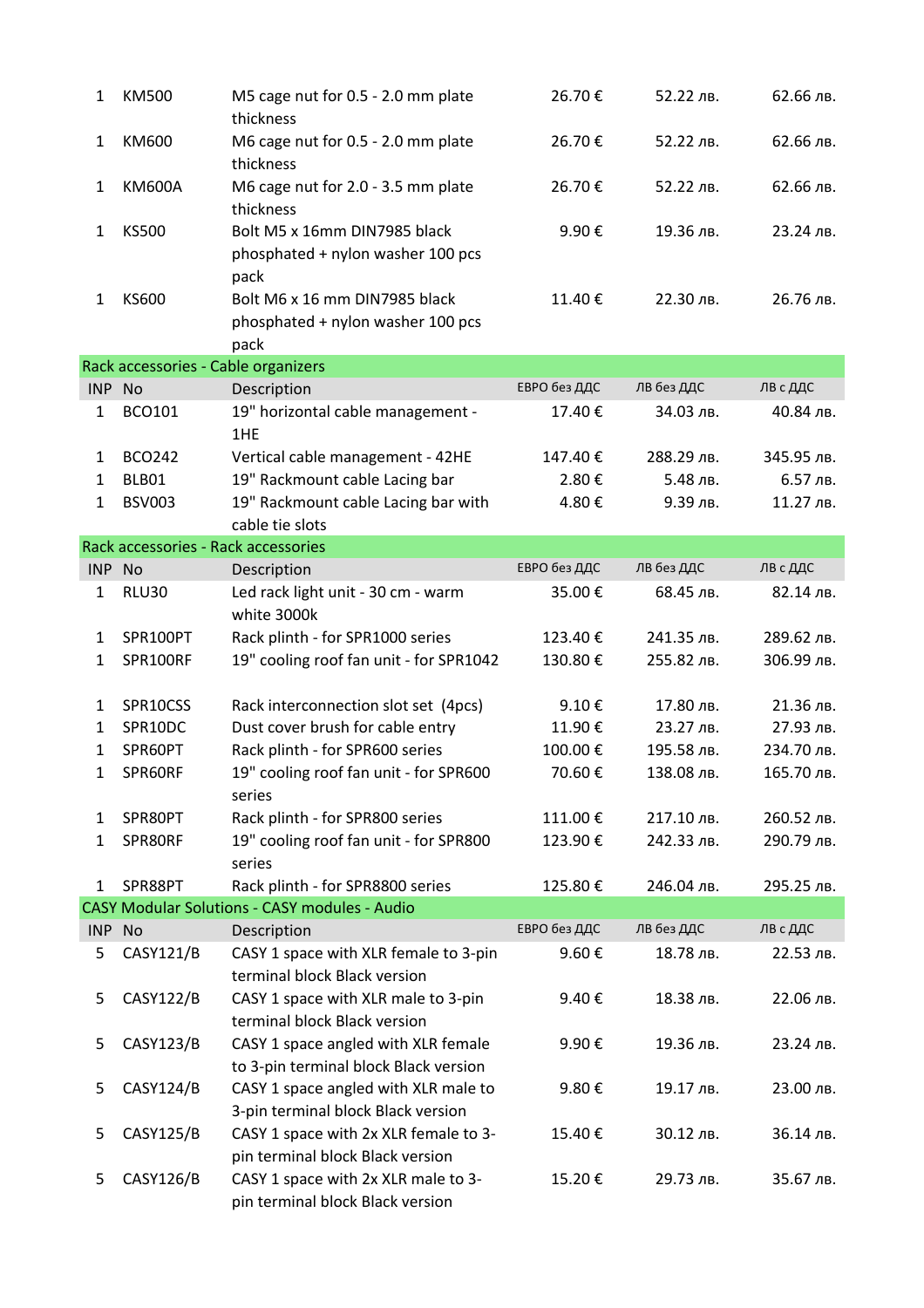| 1            | KM500                               | M5 cage nut for 0.5 - 2.0 mm plate<br>thickness                              | 26.70€       | 52.22 лв.  | 62.66 лв.  |
|--------------|-------------------------------------|------------------------------------------------------------------------------|--------------|------------|------------|
| 1            | KM600                               | M6 cage nut for 0.5 - 2.0 mm plate<br>thickness                              | 26.70€       | 52.22 лв.  | 62.66 лв.  |
| 1            | <b>KM600A</b>                       | M6 cage nut for 2.0 - 3.5 mm plate<br>thickness                              | 26.70€       | 52.22 лв.  | 62.66 лв.  |
| $\mathbf{1}$ | <b>KS500</b>                        | Bolt M5 x 16mm DIN7985 black<br>phosphated + nylon washer 100 pcs<br>pack    | 9.90€        | 19.36 лв.  | 23.24 лв.  |
| 1            | KS600                               | Bolt M6 x 16 mm DIN7985 black<br>phosphated + nylon washer 100 pcs<br>pack   | 11.40€       | 22.30 лв.  | 26.76 лв.  |
|              | Rack accessories - Cable organizers |                                                                              |              |            |            |
| INP No       |                                     | Description                                                                  | ЕВРО без ДДС | лв без ддС | ЛВ с ДДС   |
| $\mathbf{1}$ | <b>BCO101</b>                       | 19" horizontal cable management -<br>1HE                                     | 17.40€       | 34.03 лв.  | 40.84 лв.  |
| 1            | <b>BCO242</b>                       | Vertical cable management - 42HE                                             | 147.40€      | 288.29 лв. | 345.95 лв. |
| $\mathbf{1}$ | BLB01                               | 19" Rackmount cable Lacing bar                                               | 2.80€        | 5.48 лв.   | 6.57 лв.   |
| $\mathbf{1}$ | <b>BSV003</b>                       | 19" Rackmount cable Lacing bar with                                          | 4.80€        | 9.39 лв.   | 11.27 лв.  |
|              |                                     | cable tie slots                                                              |              |            |            |
|              | Rack accessories - Rack accessories |                                                                              |              |            |            |
| INP No       |                                     | Description                                                                  | ЕВРО без ДДС | ЛВ без ДДС | ЛВ с ДДС   |
| 1            | <b>RLU30</b>                        | Led rack light unit - 30 cm - warm<br>white 3000k                            | 35.00€       | 68.45 лв.  | 82.14 лв.  |
| 1            | SPR100PT                            | Rack plinth - for SPR1000 series                                             | 123.40€      | 241.35 лв. | 289.62 лв. |
| 1            | SPR100RF                            | 19" cooling roof fan unit - for SPR1042                                      | 130.80€      | 255.82 лв. | 306.99 лв. |
| 1            | SPR10CSS                            | Rack interconnection slot set (4pcs)                                         | 9.10€        | 17.80 лв.  | 21.36 лв.  |
| $\mathbf{1}$ | SPR10DC                             | Dust cover brush for cable entry                                             | 11.90€       | 23.27 лв.  | 27.93 лв.  |
| 1            | SPR60PT                             | Rack plinth - for SPR600 series                                              | 100.00€      | 195.58 лв. | 234.70 лв. |
| 1            | SPR60RF                             | 19" cooling roof fan unit - for SPR600<br>series                             | 70.60€       | 138.08 лв. | 165.70 лв. |
| 1            | SPR80PT                             | Rack plinth - for SPR800 series                                              | 111.00€      | 217.10 лв. | 260.52 лв. |
| 1            | SPR80RF                             | 19" cooling roof fan unit - for SPR800<br>series                             | 123.90€      | 242.33 лв. | 290.79 лв. |
| 1            | SPR88PT                             | Rack plinth - for SPR8800 series                                             | 125.80€      | 246.04 лв. | 295.25 лв. |
|              |                                     | <b>CASY Modular Solutions - CASY modules - Audio</b>                         |              |            |            |
| INP No       |                                     | Description                                                                  | ЕВРО без ДДС | ЛВ без ДДС | ЛВ с ДДС   |
| 5            | CASY121/B                           | CASY 1 space with XLR female to 3-pin<br>terminal block Black version        | 9.60€        | 18.78 лв.  | 22.53 лв.  |
| 5            | <b>CASY122/B</b>                    | CASY 1 space with XLR male to 3-pin<br>terminal block Black version          | 9.40€        | 18.38 лв.  | 22.06 лв.  |
| 5            | CASY123/B                           | CASY 1 space angled with XLR female<br>to 3-pin terminal block Black version | 9.90€        | 19.36 лв.  | 23.24 лв.  |
| 5            | <b>CASY124/B</b>                    | CASY 1 space angled with XLR male to<br>3-pin terminal block Black version   | 9.80€        | 19.17 лв.  | 23.00 лв.  |
| 5            | CASY125/B                           | CASY 1 space with 2x XLR female to 3-<br>pin terminal block Black version    | 15.40€       | 30.12 лв.  | 36.14 лв.  |
| 5            | CASY126/B                           | CASY 1 space with 2x XLR male to 3-<br>pin terminal block Black version      | 15.20€       | 29.73 лв.  | 35.67 лв.  |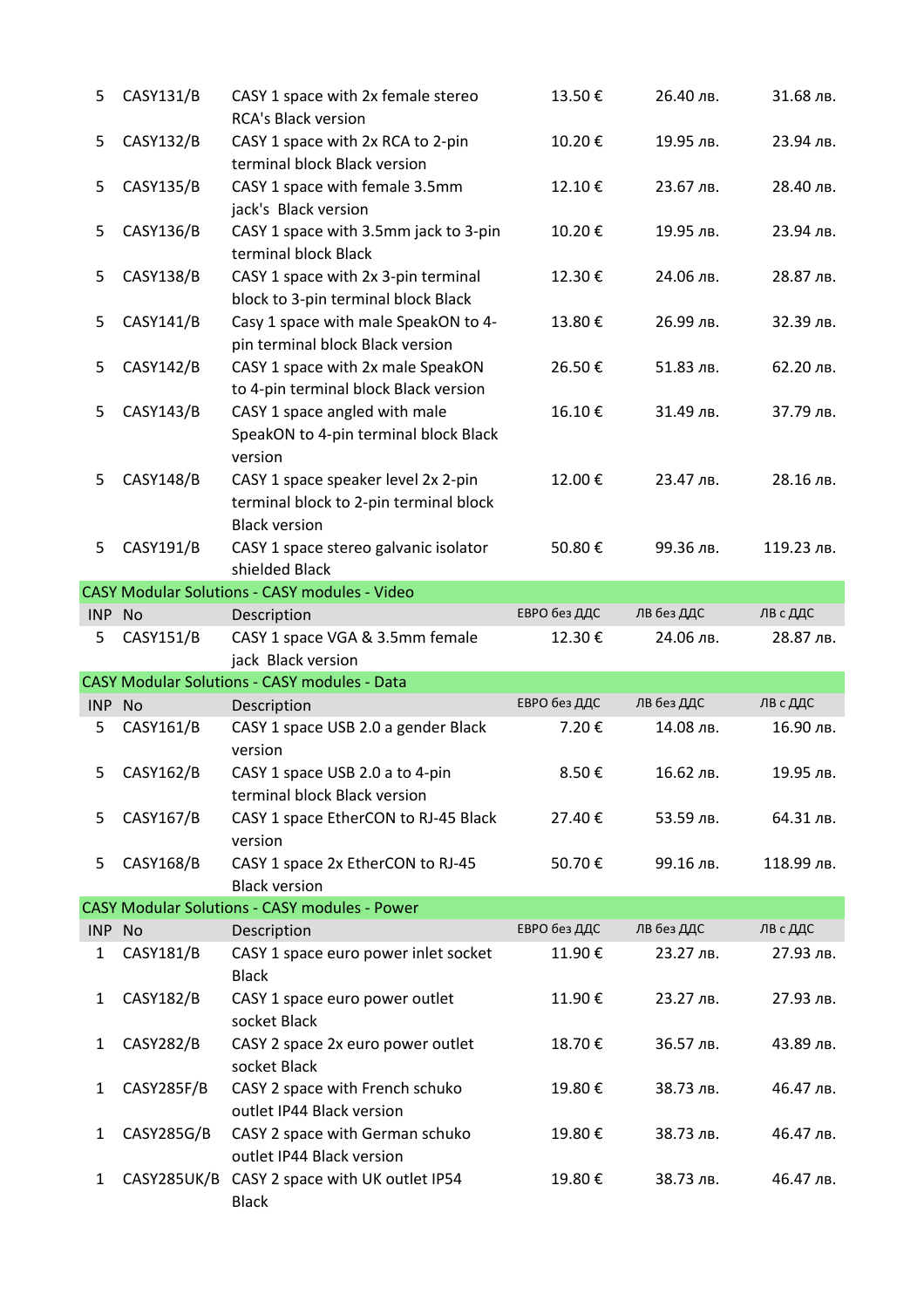| 5            | CASY131/B        | CASY 1 space with 2x female stereo<br><b>RCA's Black version</b>                                      | 13.50€       | 26.40 лв.  | 31.68 лв.  |
|--------------|------------------|-------------------------------------------------------------------------------------------------------|--------------|------------|------------|
| 5            | CASY132/B        | CASY 1 space with 2x RCA to 2-pin<br>terminal block Black version                                     | 10.20€       | 19.95 лв.  | 23.94 лв.  |
| 5            | CASY135/B        | CASY 1 space with female 3.5mm<br>jack's Black version                                                | 12.10€       | 23.67 лв.  | 28.40 лв.  |
| 5            | CASY136/B        | CASY 1 space with 3.5mm jack to 3-pin<br>terminal block Black                                         | 10.20€       | 19.95 лв.  | 23.94 лв.  |
| 5            | <b>CASY138/B</b> | CASY 1 space with 2x 3-pin terminal<br>block to 3-pin terminal block Black                            | 12.30€       | 24.06 лв.  | 28.87 лв.  |
| 5            | CASY141/B        | Casy 1 space with male SpeakON to 4-<br>pin terminal block Black version                              | 13.80€       | 26.99 лв.  | 32.39 лв.  |
| 5            | CASY142/B        | CASY 1 space with 2x male SpeakON<br>to 4-pin terminal block Black version                            | 26.50€       | 51.83 лв.  | 62.20 лв.  |
| 5            | CASY143/B        | CASY 1 space angled with male<br>SpeakON to 4-pin terminal block Black<br>version                     | 16.10€       | 31.49 лв.  | 37.79 лв.  |
| 5            | CASY148/B        | CASY 1 space speaker level 2x 2-pin<br>terminal block to 2-pin terminal block<br><b>Black version</b> | 12.00€       | 23.47 лв.  | 28.16 лв.  |
| 5            | CASY191/B        | CASY 1 space stereo galvanic isolator<br>shielded Black                                               | 50.80€       | 99.36 лв.  | 119.23 лв. |
|              |                  | <b>CASY Modular Solutions - CASY modules - Video</b>                                                  |              |            |            |
| <b>INP</b>   | <b>No</b>        | Description                                                                                           | ЕВРО без ДДС | ЛВ без ДДС | ЛВ с ДДС   |
| 5            | CASY151/B        | CASY 1 space VGA & 3.5mm female                                                                       | 12.30€       | 24.06 лв.  | 28.87 лв.  |
|              |                  |                                                                                                       |              |            |            |
|              |                  | jack Black version                                                                                    |              |            |            |
|              |                  | CASY Modular Solutions - CASY modules - Data                                                          |              |            |            |
| INP No       |                  | Description                                                                                           | ЕВРО без ДДС | ЛВ без ДДС | ЛВ с ДДС   |
| 5            | CASY161/B        | CASY 1 space USB 2.0 a gender Black<br>version                                                        | 7.20€        | 14.08 лв.  | 16.90 лв.  |
| 5            | CASY162/B        | CASY 1 space USB 2.0 a to 4-pin<br>terminal block Black version                                       | 8.50€        | 16.62 лв.  | 19.95 лв.  |
| 5            | CASY167/B        | CASY 1 space EtherCON to RJ-45 Black<br>version                                                       | 27.40€       | 53.59 лв.  | 64.31 лв.  |
| 5            | <b>CASY168/B</b> | CASY 1 space 2x EtherCON to RJ-45<br><b>Black version</b>                                             | 50.70€       | 99.16 лв.  | 118.99 лв. |
|              |                  | <b>CASY Modular Solutions - CASY modules - Power</b>                                                  |              |            |            |
| INP No       |                  | Description                                                                                           | ЕВРО без ДДС | ЛВ без ДДС | ЛВ с ДДС   |
| $\mathbf{1}$ | CASY181/B        | CASY 1 space euro power inlet socket<br><b>Black</b>                                                  | 11.90€       | 23.27 лв.  | 27.93 лв.  |
| $\mathbf{1}$ | CASY182/B        | CASY 1 space euro power outlet<br>socket Black                                                        | 11.90€       | 23.27 лв.  | 27.93 лв.  |
| 1            | <b>CASY282/B</b> | CASY 2 space 2x euro power outlet<br>socket Black                                                     | 18.70€       | 36.57 лв.  | 43.89 лв.  |
| 1            | CASY285F/B       | CASY 2 space with French schuko<br>outlet IP44 Black version                                          | 19.80€       | 38.73 лв.  | 46.47 лв.  |
| 1            | CASY285G/B       | CASY 2 space with German schuko<br>outlet IP44 Black version                                          | 19.80€       | 38.73 лв.  | 46.47 лв.  |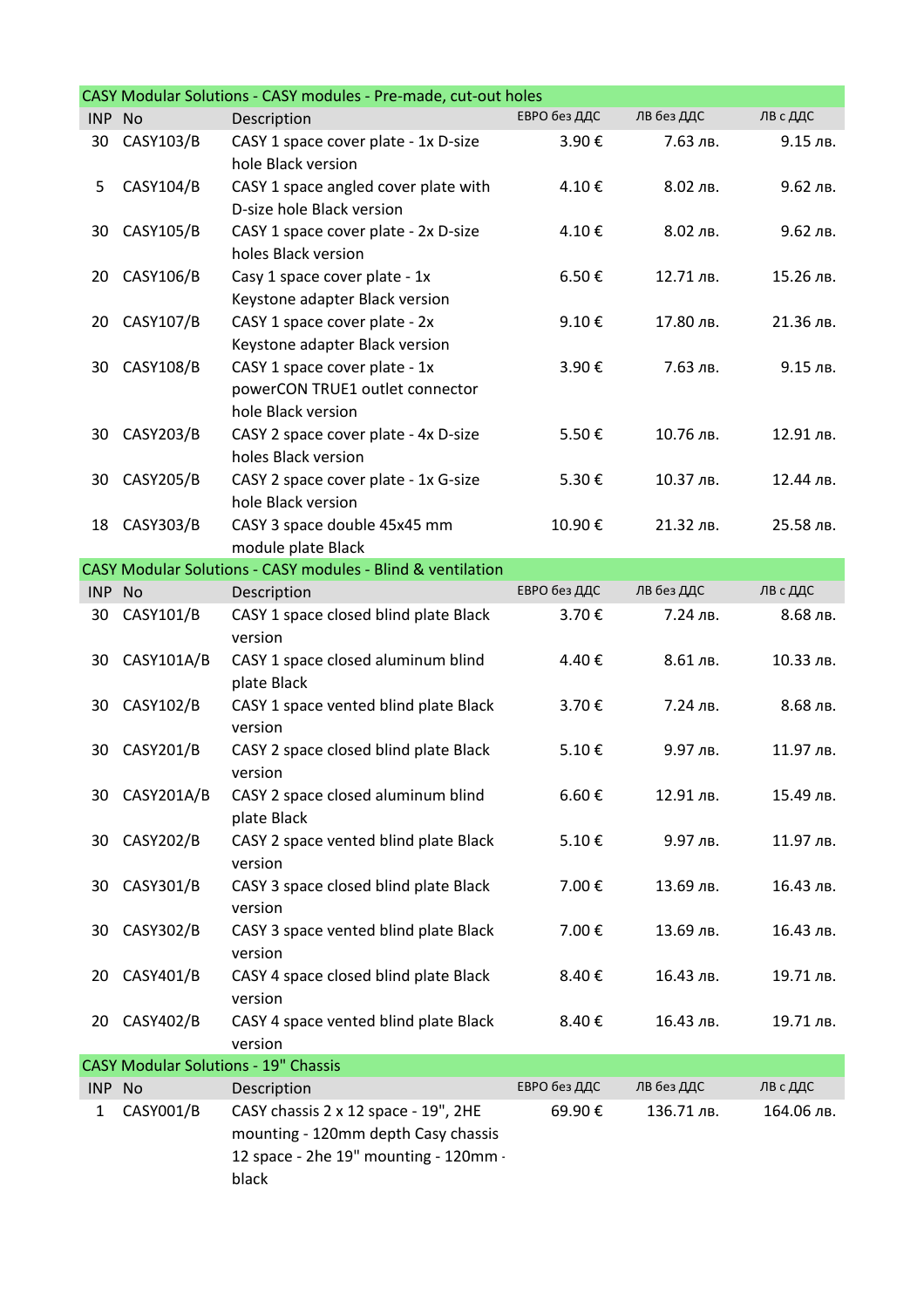|            |                  | CASY Modular Solutions - CASY modules - Pre-made, cut-out holes                                                               |              |            |            |
|------------|------------------|-------------------------------------------------------------------------------------------------------------------------------|--------------|------------|------------|
| <b>INP</b> | <b>No</b>        | Description                                                                                                                   | ЕВРО без ДДС | ЛВ без ДДС | ЛВ с ДДС   |
| 30         | CASY103/B        | CASY 1 space cover plate - 1x D-size<br>hole Black version                                                                    | 3.90€        | 7.63 лв.   | 9.15 лв.   |
| 5          | CASY104/B        | CASY 1 space angled cover plate with<br>D-size hole Black version                                                             | 4.10€        | 8.02 лв.   | 9.62 лв.   |
| 30         | CASY105/B        | CASY 1 space cover plate - 2x D-size<br>holes Black version                                                                   | 4.10€        | 8.02 лв.   | 9.62 лв.   |
| 20         | CASY106/B        | Casy 1 space cover plate - 1x<br>Keystone adapter Black version                                                               | 6.50€        | 12.71 лв.  | 15.26 лв.  |
| 20         | CASY107/B        | CASY 1 space cover plate - 2x<br>Keystone adapter Black version                                                               | 9.10€        | 17.80 лв.  | 21.36 лв.  |
| 30         | <b>CASY108/B</b> | CASY 1 space cover plate - 1x<br>powerCON TRUE1 outlet connector<br>hole Black version                                        | 3.90€        | 7.63 лв.   | 9.15 лв.   |
| 30         | CASY203/B        | CASY 2 space cover plate - 4x D-size<br>holes Black version                                                                   | 5.50€        | 10.76 лв.  | 12.91 лв.  |
| 30         | <b>CASY205/B</b> | CASY 2 space cover plate - 1x G-size<br>hole Black version                                                                    | 5.30€        | 10.37 лв.  | 12.44 лв.  |
| 18         | CASY303/B        | CASY 3 space double 45x45 mm<br>module plate Black                                                                            | 10.90€       | 21.32 лв.  | 25.58 лв.  |
|            |                  | CASY Modular Solutions - CASY modules - Blind & ventilation                                                                   |              |            |            |
| INP No     |                  | Description                                                                                                                   | ЕВРО без ДДС | ЛВ без ДДС | ЛВ с ДДС   |
| 30         | CASY101/B        | CASY 1 space closed blind plate Black<br>version                                                                              | 3.70€        | 7.24 лв.   | 8.68 лв.   |
| 30         | CASY101A/B       | CASY 1 space closed aluminum blind<br>plate Black                                                                             | 4.40€        | 8.61 лв.   | 10.33 лв.  |
| 30         | CASY102/B        | CASY 1 space vented blind plate Black<br>version                                                                              | 3.70€        | 7.24 лв.   | 8.68 лв.   |
| 30         | CASY201/B        | CASY 2 space closed blind plate Black<br>version                                                                              | 5.10€        | 9.97 лв.   | 11.97 лв.  |
| 30         | CASY201A/B       | CASY 2 space closed aluminum blind<br>plate Black                                                                             | 6.60€        | 12.91 лв.  | 15.49 лв.  |
| 30         | <b>CASY202/B</b> | CASY 2 space vented blind plate Black<br>version                                                                              | 5.10€        | 9.97 лв.   | 11.97 лв.  |
| 30         | CASY301/B        | CASY 3 space closed blind plate Black<br>version                                                                              | 7.00€        | 13.69 лв.  | 16.43 лв.  |
| 30         | CASY302/B        | CASY 3 space vented blind plate Black<br>version                                                                              | 7.00€        | 13.69 лв.  | 16.43 лв.  |
| 20         | CASY401/B        | CASY 4 space closed blind plate Black<br>version                                                                              | 8.40€        | 16.43 лв.  | 19.71 лв.  |
| 20         | CASY402/B        | CASY 4 space vented blind plate Black<br>version                                                                              | 8.40€        | 16.43 лв.  | 19.71 лв.  |
|            |                  | <b>CASY Modular Solutions - 19" Chassis</b>                                                                                   |              |            |            |
| INP No     |                  | Description                                                                                                                   | ЕВРО без ДДС | ЛВ без ДДС | ЛВ с ДДС   |
| 1          | CASY001/B        | CASY chassis 2 x 12 space - 19", 2HE<br>mounting - 120mm depth Casy chassis<br>12 space - 2he 19" mounting - 120mm -<br>black | 69.90€       | 136.71 лв. | 164.06 лв. |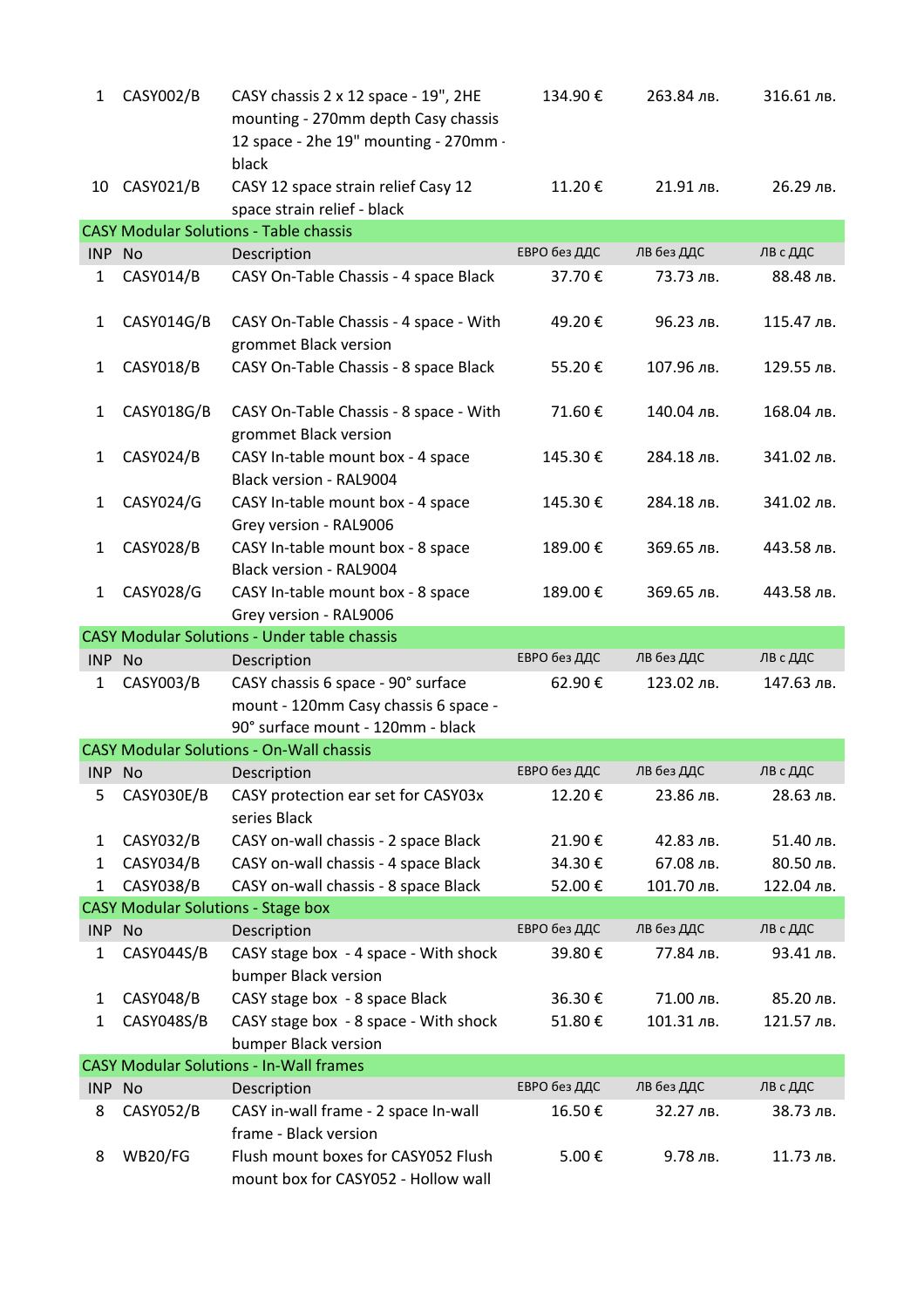| $\mathbf{1}$ | <b>CASY002/B</b> | CASY chassis 2 x 12 space - 19", 2HE<br>mounting - 270mm depth Casy chassis<br>12 space - 2he 19" mounting - 270mm -<br>black | 134.90€      | 263.84 лв. | 316.61 лв. |
|--------------|------------------|-------------------------------------------------------------------------------------------------------------------------------|--------------|------------|------------|
| 10           | CASY021/B        | CASY 12 space strain relief Casy 12<br>space strain relief - black                                                            | 11.20€       | 21.91 лв.  | 26.29 лв.  |
|              |                  | <b>CASY Modular Solutions - Table chassis</b>                                                                                 |              |            |            |
| <b>INP</b>   | No               | Description                                                                                                                   | ЕВРО без ДДС | ЛВ без ДДС | ЛВ с ДДС   |
| 1            | CASY014/B        | CASY On-Table Chassis - 4 space Black                                                                                         | 37.70€       | 73.73 лв.  | 88.48 лв.  |
| 1            | CASY014G/B       | CASY On-Table Chassis - 4 space - With<br>grommet Black version                                                               | 49.20€       | 96.23 лв.  | 115.47 лв. |
| $\mathbf{1}$ | <b>CASY018/B</b> | CASY On-Table Chassis - 8 space Black                                                                                         | 55.20€       | 107.96 лв. | 129.55 лв. |
| 1            | CASY018G/B       | CASY On-Table Chassis - 8 space - With<br>grommet Black version                                                               | 71.60€       | 140.04 лв. | 168.04 лв. |
| 1            | CASY024/B        | CASY In-table mount box - 4 space<br><b>Black version - RAL9004</b>                                                           | 145.30€      | 284.18 лв. | 341.02 лв. |
| $\mathbf{1}$ | CASY024/G        | CASY In-table mount box - 4 space<br>Grey version - RAL9006                                                                   | 145.30€      | 284.18 лв. | 341.02 лв. |
| 1            | <b>CASY028/B</b> | CASY In-table mount box - 8 space<br><b>Black version - RAL9004</b>                                                           | 189.00€      | 369.65 лв. | 443.58 лв. |
| $\mathbf{1}$ | CASY028/G        | CASY In-table mount box - 8 space<br>Grey version - RAL9006                                                                   | 189.00€      | 369.65 лв. | 443.58 лв. |
|              |                  | <b>CASY Modular Solutions - Under table chassis</b>                                                                           |              |            |            |
|              |                  |                                                                                                                               |              |            |            |
| INP No       |                  | Description                                                                                                                   | ЕВРО без ДДС | ЛВ без ДДС | ЛВ с ДДС   |
| 1            | CASY003/B        | CASY chassis 6 space - 90° surface<br>mount - 120mm Casy chassis 6 space -                                                    | 62.90€       | 123.02 лв. | 147.63 лв. |
|              |                  | 90° surface mount - 120mm - black                                                                                             |              |            |            |
|              |                  | <b>CASY Modular Solutions - On-Wall chassis</b>                                                                               |              |            |            |
| INP No       |                  | Description                                                                                                                   | ЕВРО без ДДС | ЛВ без ДДС | ЛВ с ДДС   |
| 5            | CASY030E/B       | CASY protection ear set for CASY03x<br>series Black                                                                           | 12.20€       | 23.86 лв.  | 28.63 лв.  |
| 1            | CASY032/B        | CASY on-wall chassis - 2 space Black                                                                                          | 21.90€       | 42.83 лв.  | 51.40 лв.  |
| 1            | CASY034/B        | CASY on-wall chassis - 4 space Black                                                                                          | 34.30€       | 67.08 лв.  | 80.50 лв.  |
| 1            | <b>CASY038/B</b> | CASY on-wall chassis - 8 space Black                                                                                          | 52.00€       | 101.70 лв. | 122.04 лв. |
|              |                  | <b>CASY Modular Solutions - Stage box</b>                                                                                     |              |            |            |
| INP No       |                  | Description                                                                                                                   | ЕВРО без ДДС | ЛВ без ДДС | ЛВ с ДДС   |
| 1            | CASY044S/B       | CASY stage box - 4 space - With shock<br>bumper Black version                                                                 | 39.80€       | 77.84 лв.  | 93.41 лв.  |
| $\mathbf{1}$ | <b>CASY048/B</b> | CASY stage box - 8 space Black                                                                                                | 36.30€       | 71.00 лв.  | 85.20 лв.  |
| 1            | CASY048S/B       | CASY stage box - 8 space - With shock<br>bumper Black version                                                                 | 51.80€       | 101.31 лв. | 121.57 лв. |
|              |                  | <b>CASY Modular Solutions - In-Wall frames</b>                                                                                |              |            |            |
| INP No       |                  | Description                                                                                                                   | ЕВРО без ДДС | ЛВ без ДДС | ЛВ с ДДС   |
| 8            | CASY052/B        | CASY in-wall frame - 2 space In-wall<br>frame - Black version                                                                 | 16.50€       | 32.27 лв.  | 38.73 лв.  |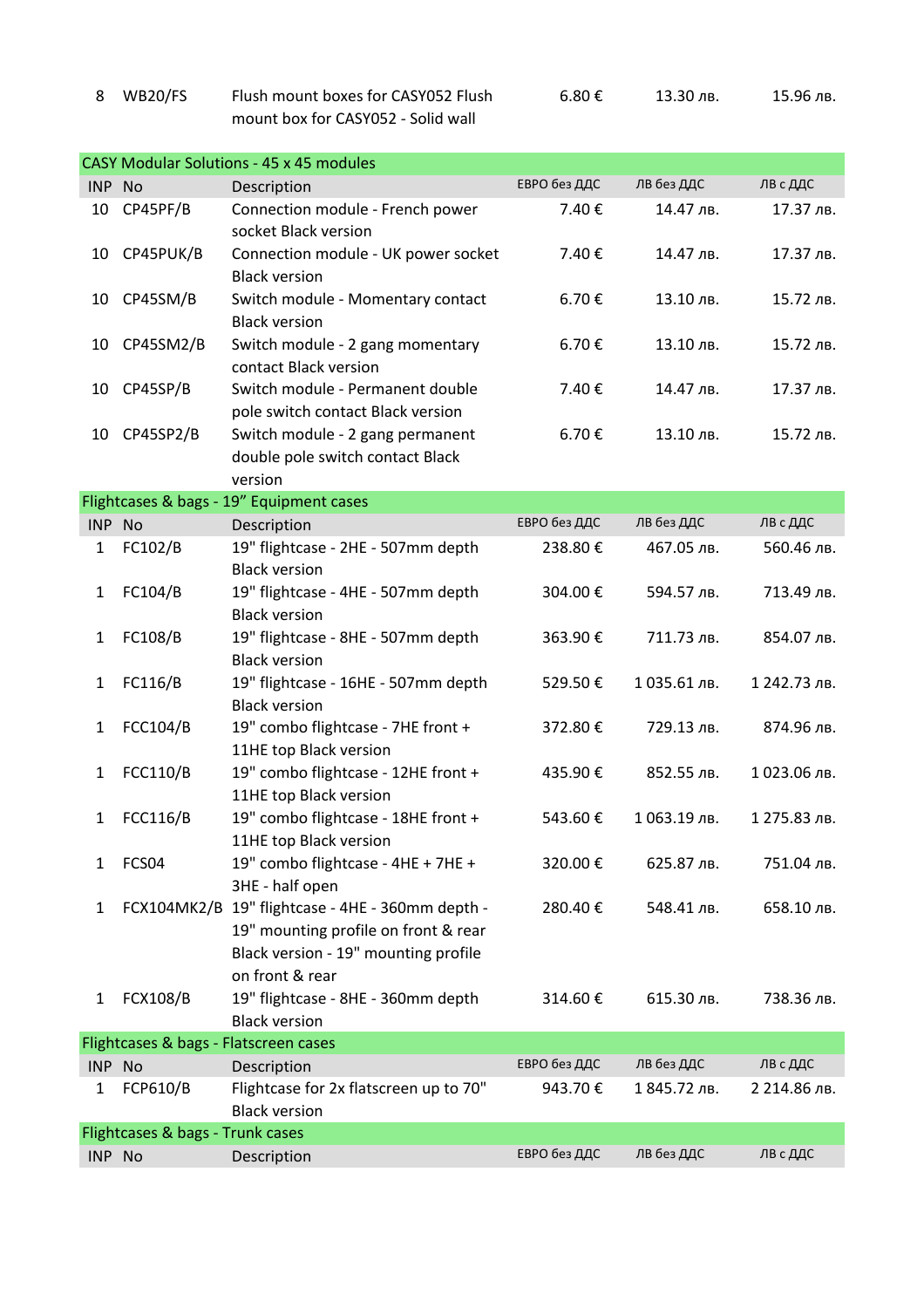|                                       |                 | mount box for CASY052 - Solid wall                                                                                                                  |              |              |              |  |
|---------------------------------------|-----------------|-----------------------------------------------------------------------------------------------------------------------------------------------------|--------------|--------------|--------------|--|
|                                       |                 |                                                                                                                                                     |              |              |              |  |
|                                       |                 | <b>CASY Modular Solutions - 45 x 45 modules</b>                                                                                                     |              |              |              |  |
| INP No                                |                 | Description                                                                                                                                         | ЕВРО без ДДС | ЛВ без ДДС   | ЛВ с ДДС     |  |
| 10                                    | CP45PF/B        | Connection module - French power<br>socket Black version                                                                                            | 7.40€        | 14.47 лв.    | 17.37 лв.    |  |
| 10                                    | CP45PUK/B       | Connection module - UK power socket<br><b>Black version</b>                                                                                         | 7.40€        | 14.47 лв.    | 17.37 лв.    |  |
| 10                                    | CP45SM/B        | Switch module - Momentary contact<br><b>Black version</b>                                                                                           | 6.70€        | 13.10 лв.    | 15.72 лв.    |  |
| 10                                    | CP45SM2/B       | Switch module - 2 gang momentary<br>contact Black version                                                                                           | 6.70€        | 13.10 лв.    | 15.72 лв.    |  |
| 10                                    | CP45SP/B        | Switch module - Permanent double<br>pole switch contact Black version                                                                               | 7.40€        | 14.47 лв.    | 17.37 лв.    |  |
| 10                                    | CP45SP2/B       | Switch module - 2 gang permanent<br>double pole switch contact Black                                                                                | 6.70€        | 13.10 лв.    | 15.72 лв.    |  |
|                                       |                 | version                                                                                                                                             |              |              |              |  |
| INP                                   | <b>No</b>       | Flightcases & bags - 19" Equipment cases                                                                                                            | ЕВРО без ДДС | ЛВ без ДДС   | ЛВ с ДДС     |  |
|                                       |                 | Description<br>19" flightcase - 2HE - 507mm depth                                                                                                   | 238.80€      | 467.05 лв.   | 560.46 лв.   |  |
| 1                                     | FC102/B         | <b>Black version</b>                                                                                                                                |              |              |              |  |
| 1                                     | FC104/B         | 19" flightcase - 4HE - 507mm depth<br><b>Black version</b>                                                                                          | 304.00€      | 594.57 лв.   | 713.49 лв.   |  |
| 1                                     | FC108/B         | 19" flightcase - 8HE - 507mm depth<br><b>Black version</b>                                                                                          | 363.90€      | 711.73 лв.   | 854.07 лв.   |  |
| 1                                     | FC116/B         | 19" flightcase - 16HE - 507mm depth<br><b>Black version</b>                                                                                         | 529.50€      | 1035.61 лв.  | 1 242.73 лв. |  |
| 1                                     | <b>FCC104/B</b> | 19" combo flightcase - 7HE front +<br>11HE top Black version                                                                                        | 372.80€      | 729.13 лв.   | 874.96 лв.   |  |
| 1                                     | <b>FCC110/B</b> | 19" combo flightcase - 12HE front +<br>11HE top Black version                                                                                       | 435.90€      | 852.55 лв.   | 1023.06 лв.  |  |
| 1                                     | <b>FCC116/B</b> | 19" combo flightcase - 18HE front +<br>11HE top Black version                                                                                       | 543.60€      | 1 063.19 лв. | 1 275.83 лв. |  |
| 1                                     | FCS04           | 19" combo flightcase - 4HE + 7HE +<br>3HE - half open                                                                                               | 320.00€      | 625.87 лв.   | 751.04 лв.   |  |
| 1                                     |                 | FCX104MK2/B 19" flightcase - 4HE - 360mm depth -<br>19" mounting profile on front & rear<br>Black version - 19" mounting profile<br>on front & rear | 280.40€      | 548.41 лв.   | 658.10 лв.   |  |
| 1                                     | <b>FCX108/B</b> | 19" flightcase - 8HE - 360mm depth<br><b>Black version</b>                                                                                          | 314.60€      | 615.30 лв.   | 738.36 лв.   |  |
| Flightcases & bags - Flatscreen cases |                 |                                                                                                                                                     |              |              |              |  |
| INP No                                |                 | Description                                                                                                                                         | ЕВРО без ДДС | ЛВ без ДДС   | ЛВ с ДДС     |  |
| 1                                     | FCP610/B        | Flightcase for 2x flatscreen up to 70"<br><b>Black version</b>                                                                                      | 943.70€      | 1 845.72 лв. | 2 214.86 лв. |  |
| Flightcases & bags - Trunk cases      |                 |                                                                                                                                                     |              |              |              |  |
| INP No                                |                 | Description                                                                                                                                         | ЕВРО без ДДС | ЛВ без ДДС   | ЛВ с ДДС     |  |

 $6.80 \text{ } \infty$  13.30 лв. 15.96 лв.

8 WB20/FS Flush mount boxes for CASY052 Flush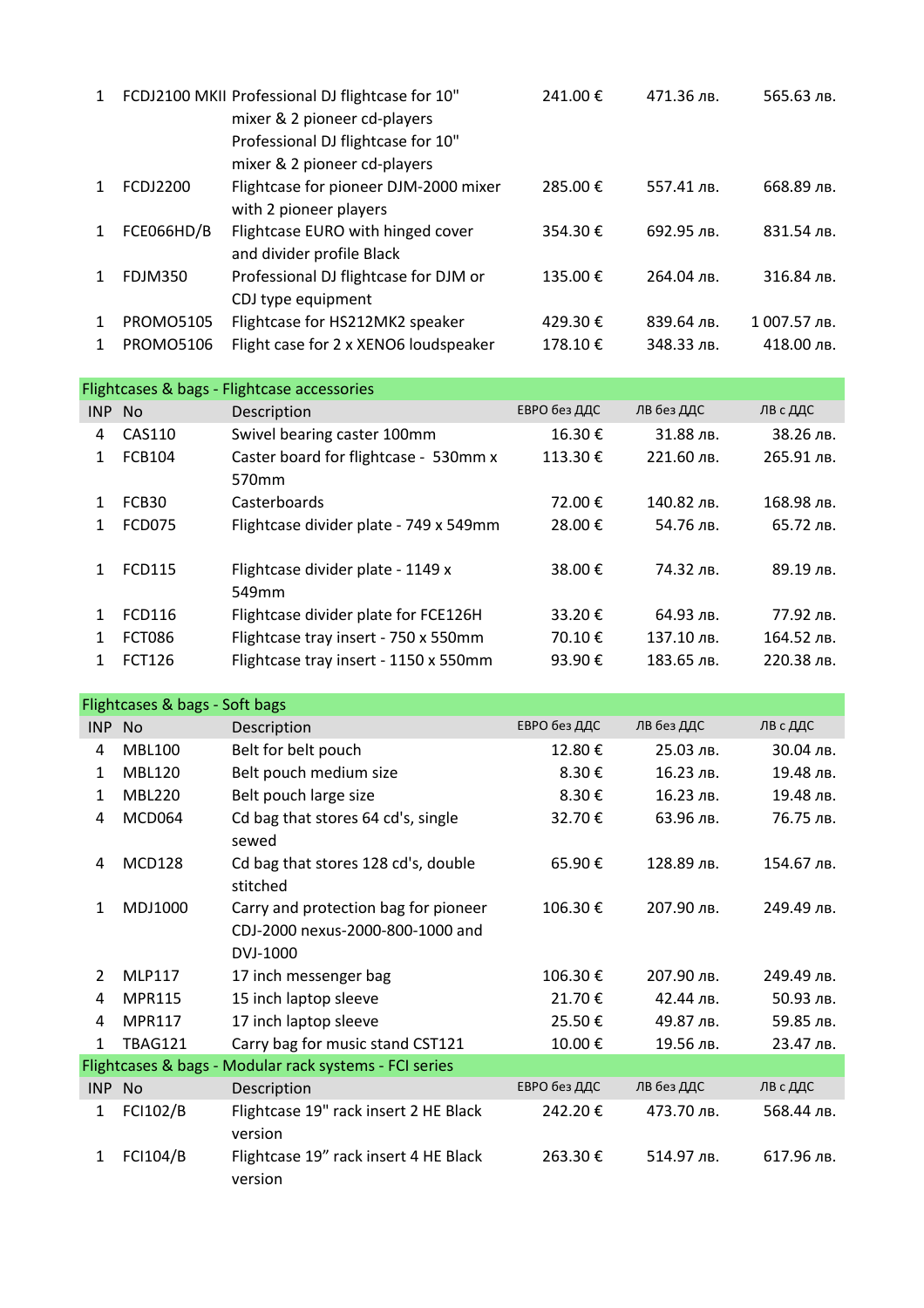| $\mathbf{1}$ |                  | FCDJ2100 MKII Professional DJ flightcase for 10"<br>mixer & 2 pioneer cd-players | 241.00 € | 471.36 лв. | 565.63 лв.   |
|--------------|------------------|----------------------------------------------------------------------------------|----------|------------|--------------|
|              |                  | Professional DJ flightcase for 10"                                               |          |            |              |
|              |                  | mixer & 2 pioneer cd-players                                                     |          |            |              |
| 1            | <b>FCDJ2200</b>  | Flightcase for pioneer DJM-2000 mixer                                            | 285.00€  | 557.41 лв. | 668.89 лв.   |
|              |                  | with 2 pioneer players                                                           |          |            |              |
| $\mathbf 1$  | FCE066HD/B       | Flightcase EURO with hinged cover                                                | 354.30€  | 692.95 лв. | 831.54 лв.   |
|              |                  | and divider profile Black                                                        |          |            |              |
| 1            | <b>FDJM350</b>   | Professional DJ flightcase for DJM or                                            | 135.00 € | 264.04 лв. | 316.84 лв.   |
|              |                  | CDJ type equipment                                                               |          |            |              |
| 1            | <b>PROMO5105</b> | Flightcase for HS212MK2 speaker                                                  | 429.30€  | 839.64 лв. | 1 007.57 лв. |
| 1            | <b>PROMO5106</b> | Flight case for 2 x XENO6 loudspeaker                                            | 178.10€  | 348.33 лв. | 418.00 лв.   |

| Flightcases & bags - Flightcase accessories |               |                                        |              |            |            |  |
|---------------------------------------------|---------------|----------------------------------------|--------------|------------|------------|--|
| INP                                         | <b>No</b>     | Description                            | ЕВРО без ДДС | ЛВ без ДДС | ЛВ с ДДС   |  |
| 4                                           | CAS110        | Swivel bearing caster 100mm            | 16.30€       | 31.88 лв.  | 38.26 лв.  |  |
| 1.                                          | <b>FCB104</b> | Caster board for flightcase - 530mm x  | 113.30€      | 221.60 лв. | 265.91 лв. |  |
|                                             |               | 570 <sub>mm</sub>                      |              |            |            |  |
| 1                                           | FCB30         | Casterboards                           | 72.00€       | 140.82 лв. | 168.98 лв. |  |
| 1                                           | <b>FCD075</b> | Flightcase divider plate - 749 x 549mm | 28.00€       | 54.76 лв.  | 65.72 лв.  |  |
|                                             |               |                                        |              |            |            |  |
| $\mathbf{1}$                                | <b>FCD115</b> | Flightcase divider plate - 1149 x      | 38.00€       | 74.32 лв.  | 89.19 лв.  |  |
|                                             |               | 549mm                                  |              |            |            |  |
|                                             | FCD116        | Flightcase divider plate for FCE126H   | 33.20€       | 64.93 лв.  | 77.92 лв.  |  |
| 1                                           | <b>FCT086</b> | Flightcase tray insert - 750 x 550mm   | 70.10€       | 137.10 лв. | 164.52 лв. |  |
| 1                                           | <b>FCT126</b> | Flightcase tray insert - 1150 x 550mm  | 93.90€       | 183.65 лв. | 220.38 лв. |  |

| Flightcases & bags - Soft bags                         |                 |                                                  |              |            |            |  |
|--------------------------------------------------------|-----------------|--------------------------------------------------|--------------|------------|------------|--|
| INP No                                                 |                 | Description                                      | ЕВРО без ДДС | ЛВ без ДДС | ЛВ с ДДС   |  |
| 4                                                      | <b>MBL100</b>   | Belt for belt pouch                              | 12.80€       | 25.03 лв.  | 30.04 лв.  |  |
| $\mathbf{1}$                                           | <b>MBL120</b>   | Belt pouch medium size                           | 8.30€        | 16.23 лв.  | 19.48 лв.  |  |
| 1                                                      | <b>MBL220</b>   | Belt pouch large size                            | 8.30€        | 16.23 лв.  | 19.48 лв.  |  |
| 4                                                      | MCD064          | Cd bag that stores 64 cd's, single<br>sewed      | 32.70€       | 63.96 лв.  | 76.75 лв.  |  |
| 4                                                      | <b>MCD128</b>   | Cd bag that stores 128 cd's, double<br>stitched  | 65.90€       | 128.89 лв. | 154.67 лв. |  |
| $\mathbf{1}$                                           | MDJ1000         | Carry and protection bag for pioneer             | 106.30€      | 207.90 лв. | 249.49 лв. |  |
|                                                        |                 | CDJ-2000 nexus-2000-800-1000 and                 |              |            |            |  |
|                                                        |                 | DVJ-1000                                         |              |            |            |  |
| $\overline{2}$                                         | <b>MLP117</b>   | 17 inch messenger bag                            | 106.30€      | 207.90 лв. | 249.49 лв. |  |
| 4                                                      | <b>MPR115</b>   | 15 inch laptop sleeve                            | 21.70€       | 42.44 лв.  | 50.93 лв.  |  |
| 4                                                      | <b>MPR117</b>   | 17 inch laptop sleeve                            | 25.50€       | 49.87 лв.  | 59.85 лв.  |  |
| $\mathbf{1}$                                           | <b>TBAG121</b>  | Carry bag for music stand CST121                 | 10.00€       | 19.56 лв.  | 23.47 лв.  |  |
| Flightcases & bags - Modular rack systems - FCI series |                 |                                                  |              |            |            |  |
| <b>INP</b>                                             | <b>No</b>       | Description                                      | ЕВРО без ДДС | ЛВ без ДДС | ЛВ с ДДС   |  |
| $\mathbf{1}$                                           | <b>FCI102/B</b> | Flightcase 19" rack insert 2 HE Black<br>version | 242.20€      | 473.70 лв. | 568.44 лв. |  |
| $\mathbf{1}$                                           | <b>FCI104/B</b> | Flightcase 19" rack insert 4 HE Black<br>version | 263.30€      | 514.97 лв. | 617.96 лв. |  |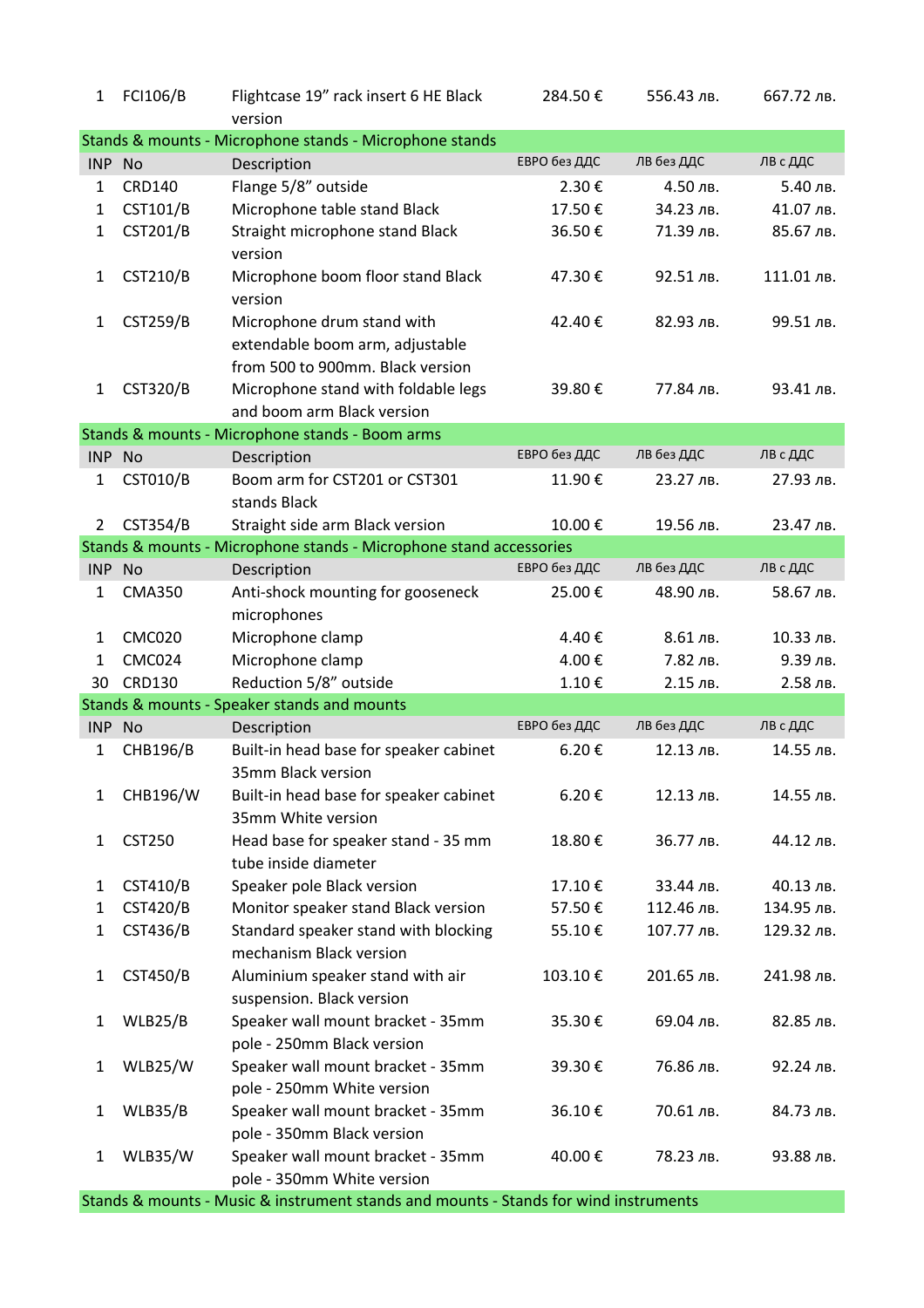| $\mathbf{1}$   | FCI106/B        | Flightcase 19" rack insert 6 HE Black<br>version                   | 284.50€      | 556.43 лв. | 667.72 лв. |
|----------------|-----------------|--------------------------------------------------------------------|--------------|------------|------------|
|                |                 | Stands & mounts - Microphone stands - Microphone stands            |              |            |            |
| INP No         |                 | Description                                                        | ЕВРО без ДДС | ЛВ без ДДС | ЛВ с ДДС   |
| $\mathbf{1}$   | <b>CRD140</b>   | Flange 5/8" outside                                                | 2.30€        | 4.50 лв.   | 5.40 лв.   |
| $\mathbf{1}$   | <b>CST101/B</b> | Microphone table stand Black                                       | 17.50€       | 34.23 лв.  | 41.07 лв.  |
| $\mathbf{1}$   | <b>CST201/B</b> | Straight microphone stand Black                                    | 36.50€       | 71.39 лв.  | 85.67 лв.  |
|                |                 | version                                                            |              |            |            |
| 1              | <b>CST210/B</b> | Microphone boom floor stand Black<br>version                       | 47.30€       | 92.51 лв.  | 111.01 лв. |
| $\mathbf{1}$   | <b>CST259/B</b> | Microphone drum stand with                                         | 42.40€       | 82.93 лв.  | 99.51 лв.  |
|                |                 | extendable boom arm, adjustable                                    |              |            |            |
|                |                 | from 500 to 900mm. Black version                                   |              |            |            |
| $\mathbf{1}$   | <b>CST320/B</b> | Microphone stand with foldable legs                                | 39.80€       | 77.84 лв.  | 93.41 лв.  |
|                |                 | and boom arm Black version                                         |              |            |            |
|                |                 | Stands & mounts - Microphone stands - Boom arms                    |              |            |            |
| INP No         |                 | Description                                                        | ЕВРО без ДДС | ЛВ без ДДС | ЛВ с ДДС   |
| $\mathbf{1}$   | <b>CST010/B</b> | Boom arm for CST201 or CST301<br>stands Black                      | 11.90€       | 23.27 лв.  | 27.93 лв.  |
| $\overline{2}$ | <b>CST354/B</b> | Straight side arm Black version                                    | 10.00€       | 19.56 лв.  | 23.47 лв.  |
|                |                 | Stands & mounts - Microphone stands - Microphone stand accessories |              |            |            |
| INP No         |                 | Description                                                        | ЕВРО без ДДС | ЛВ без ДДС | ЛВ с ДДС   |
| $\mathbf{1}$   | <b>CMA350</b>   | Anti-shock mounting for gooseneck                                  | 25.00€       | 48.90 лв.  | 58.67 лв.  |
|                |                 | microphones                                                        |              |            |            |
| $\mathbf{1}$   | <b>CMC020</b>   | Microphone clamp                                                   | 4.40€        | 8.61 лв.   | 10.33 лв.  |
| 1              | <b>CMC024</b>   | Microphone clamp                                                   | 4.00€        | 7.82 лв.   | 9.39 лв.   |
| 30             | <b>CRD130</b>   | Reduction 5/8" outside                                             | 1.10€        | 2.15 лв.   | 2.58 лв.   |
|                |                 | Stands & mounts - Speaker stands and mounts                        |              |            |            |
| INP No         |                 | Description                                                        | ЕВРО без ДДС | ЛВ без ДДС | ЛВ с ДДС   |
| 1              | <b>CHB196/B</b> | Built-in head base for speaker cabinet                             | 6.20€        | 12.13 лв.  | 14.55 лв.  |
|                |                 | 35mm Black version                                                 |              |            |            |
| 1              | CHB196/W        | Built-in head base for speaker cabinet                             | 6.20€        | 12.13 лв.  | 14.55 лв.  |
|                |                 | 35mm White version                                                 |              |            |            |
| 1              | <b>CST250</b>   | Head base for speaker stand - 35 mm<br>tube inside diameter        | 18.80€       | 36.77 лв.  | 44.12 лв.  |
| 1              | CST410/B        | Speaker pole Black version                                         | 17.10€       | 33.44 лв.  | 40.13 лв.  |
| $\mathbf{1}$   | <b>CST420/B</b> | Monitor speaker stand Black version                                | 57.50€       | 112.46 лв. | 134.95 лв. |
| $\mathbf{1}$   | <b>CST436/B</b> | Standard speaker stand with blocking                               | 55.10€       | 107.77 лв. | 129.32 лв. |
|                |                 | mechanism Black version                                            |              |            |            |
| 1              | <b>CST450/B</b> | Aluminium speaker stand with air                                   | 103.10€      | 201.65 лв. | 241.98 лв. |
|                |                 | suspension. Black version                                          |              |            |            |
| 1              | WLB25/B         | Speaker wall mount bracket - 35mm                                  | 35.30€       | 69.04 лв.  | 82.85 лв.  |
|                |                 | pole - 250mm Black version                                         |              |            |            |
| 1              | WLB25/W         | Speaker wall mount bracket - 35mm                                  | 39.30€       | 76.86 лв.  | 92.24 лв.  |
|                |                 | pole - 250mm White version                                         |              |            |            |
| 1              | WLB35/B         | Speaker wall mount bracket - 35mm                                  | 36.10€       | 70.61 лв.  | 84.73 лв.  |
|                |                 | pole - 350mm Black version                                         |              |            |            |
| 1              | WLB35/W         | Speaker wall mount bracket - 35mm                                  | 40.00€       | 78.23 лв.  | 93.88 лв.  |
|                |                 | pole - 350mm White version                                         |              |            |            |